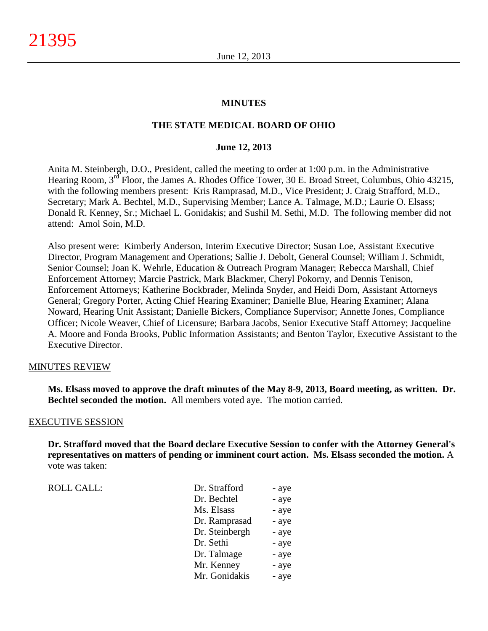### **MINUTES**

### **THE STATE MEDICAL BOARD OF OHIO**

#### **June 12, 2013**

Anita M. Steinbergh, D.O., President, called the meeting to order at 1:00 p.m. in the Administrative Hearing Room, 3<sup>rd</sup> Floor, the James A. Rhodes Office Tower, 30 E. Broad Street, Columbus, Ohio 43215, with the following members present: Kris Ramprasad, M.D., Vice President; J. Craig Strafford, M.D., Secretary; Mark A. Bechtel, M.D., Supervising Member; Lance A. Talmage, M.D.; Laurie O. Elsass; Donald R. Kenney, Sr.; Michael L. Gonidakis; and Sushil M. Sethi, M.D. The following member did not attend: Amol Soin, M.D.

Also present were: Kimberly Anderson, Interim Executive Director; Susan Loe, Assistant Executive Director, Program Management and Operations; Sallie J. Debolt, General Counsel; William J. Schmidt, Senior Counsel; Joan K. Wehrle, Education & Outreach Program Manager; Rebecca Marshall, Chief Enforcement Attorney; Marcie Pastrick, Mark Blackmer, Cheryl Pokorny, and Dennis Tenison, Enforcement Attorneys; Katherine Bockbrader, Melinda Snyder, and Heidi Dorn, Assistant Attorneys General; Gregory Porter, Acting Chief Hearing Examiner; Danielle Blue, Hearing Examiner; Alana Noward, Hearing Unit Assistant; Danielle Bickers, Compliance Supervisor; Annette Jones, Compliance Officer; Nicole Weaver, Chief of Licensure; Barbara Jacobs, Senior Executive Staff Attorney; Jacqueline A. Moore and Fonda Brooks, Public Information Assistants; and Benton Taylor, Executive Assistant to the Executive Director.

#### MINUTES REVIEW

**Ms. Elsass moved to approve the draft minutes of the May 8-9, 2013, Board meeting, as written. Dr. Bechtel seconded the motion.** All members voted aye. The motion carried.

### EXECUTIVE SESSION

**Dr. Strafford moved that the Board declare Executive Session to confer with the Attorney General's representatives on matters of pending or imminent court action. Ms. Elsass seconded the motion.** A vote was taken:

ROLL CALL: T

| Dr. Strafford  | - aye |
|----------------|-------|
| Dr. Bechtel    | - aye |
| Ms. Elsass     | - aye |
| Dr. Ramprasad  | - aye |
| Dr. Steinbergh | - aye |
| Dr. Sethi      | - aye |
| Dr. Talmage    | - aye |
| Mr. Kenney     | - aye |
| Mr. Gonidakis  | - aye |
|                |       |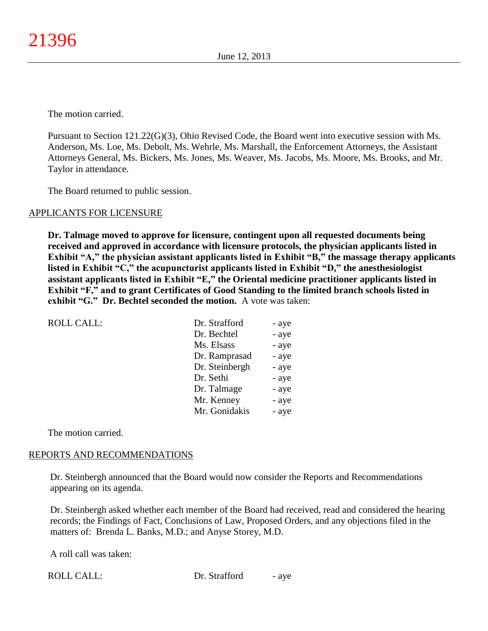The motion carried.

Pursuant to Section 121.22(G)(3), Ohio Revised Code, the Board went into executive session with Ms. Anderson, Ms. Loe, Ms. Debolt, Ms. Wehrle, Ms. Marshall, the Enforcement Attorneys, the Assistant Attorneys General, Ms. Bickers, Ms. Jones, Ms. Weaver, Ms. Jacobs, Ms. Moore, Ms. Brooks, and Mr. Taylor in attendance.

The Board returned to public session.

## APPLICANTS FOR LICENSURE

**Dr. Talmage moved to approve for licensure, contingent upon all requested documents being received and approved in accordance with licensure protocols, the physician applicants listed in Exhibit "A," the physician assistant applicants listed in Exhibit "B," the massage therapy applicants listed in Exhibit "C," the acupuncturist applicants listed in Exhibit "D," the anesthesiologist assistant applicants listed in Exhibit "E," the Oriental medicine practitioner applicants listed in Exhibit "F," and to grant Certificates of Good Standing to the limited branch schools listed in exhibit "G." Dr. Bechtel seconded the motion.** A vote was taken:

| <b>ROLL CALL:</b> | Dr. Strafford  | - aye |
|-------------------|----------------|-------|
|                   | Dr. Bechtel    | - aye |
|                   | Ms. Elsass     | - aye |
|                   | Dr. Ramprasad  | - aye |
|                   | Dr. Steinbergh | - aye |
|                   | Dr. Sethi      | - aye |
|                   | Dr. Talmage    | - aye |
|                   | Mr. Kenney     | - aye |
|                   | Mr. Gonidakis  | - aye |

The motion carried.

## REPORTS AND RECOMMENDATIONS

Dr. Steinbergh announced that the Board would now consider the Reports and Recommendations appearing on its agenda.

Dr. Steinbergh asked whether each member of the Board had received, read and considered the hearing records; the Findings of Fact, Conclusions of Law, Proposed Orders, and any objections filed in the matters of: Brenda L. Banks, M.D.; and Anyse Storey, M.D.

A roll call was taken: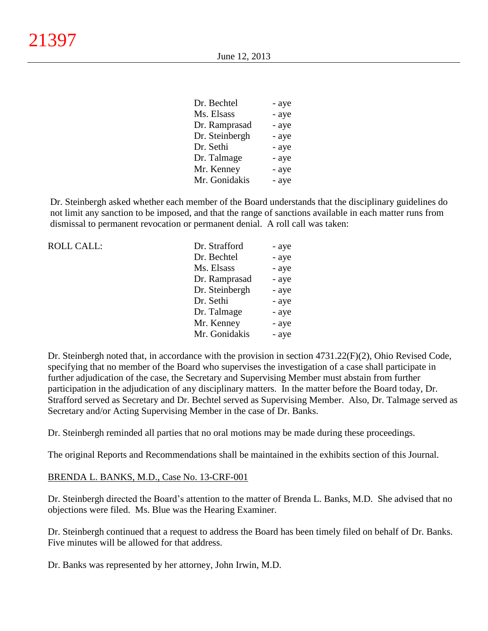| Dr. Bechtel    | - aye |
|----------------|-------|
| Ms. Elsass     | - aye |
| Dr. Ramprasad  | - aye |
| Dr. Steinbergh | - aye |
| Dr. Sethi      | - aye |
| Dr. Talmage    | - aye |
| Mr. Kenney     | - aye |
| Mr. Gonidakis  | - aye |

Dr. Steinbergh asked whether each member of the Board understands that the disciplinary guidelines do not limit any sanction to be imposed, and that the range of sanctions available in each matter runs from dismissal to permanent revocation or permanent denial. A roll call was taken:

| <b>ROLL CALL:</b> | Dr. Strafford  | - aye |
|-------------------|----------------|-------|
|                   | Dr. Bechtel    | - aye |
|                   | Ms. Elsass     | - aye |
|                   | Dr. Ramprasad  | - aye |
|                   | Dr. Steinbergh | - aye |
|                   | Dr. Sethi      | - aye |
|                   | Dr. Talmage    | - aye |
|                   | Mr. Kenney     | - aye |
|                   | Mr. Gonidakis  | - aye |
|                   |                |       |

Dr. Steinbergh noted that, in accordance with the provision in section 4731.22(F)(2), Ohio Revised Code, specifying that no member of the Board who supervises the investigation of a case shall participate in further adjudication of the case, the Secretary and Supervising Member must abstain from further participation in the adjudication of any disciplinary matters. In the matter before the Board today, Dr. Strafford served as Secretary and Dr. Bechtel served as Supervising Member. Also, Dr. Talmage served as Secretary and/or Acting Supervising Member in the case of Dr. Banks.

Dr. Steinbergh reminded all parties that no oral motions may be made during these proceedings.

The original Reports and Recommendations shall be maintained in the exhibits section of this Journal.

## BRENDA L. BANKS, M.D., Case No. 13-CRF-001

Dr. Steinbergh directed the Board's attention to the matter of Brenda L. Banks, M.D. She advised that no objections were filed. Ms. Blue was the Hearing Examiner.

Dr. Steinbergh continued that a request to address the Board has been timely filed on behalf of Dr. Banks. Five minutes will be allowed for that address.

Dr. Banks was represented by her attorney, John Irwin, M.D.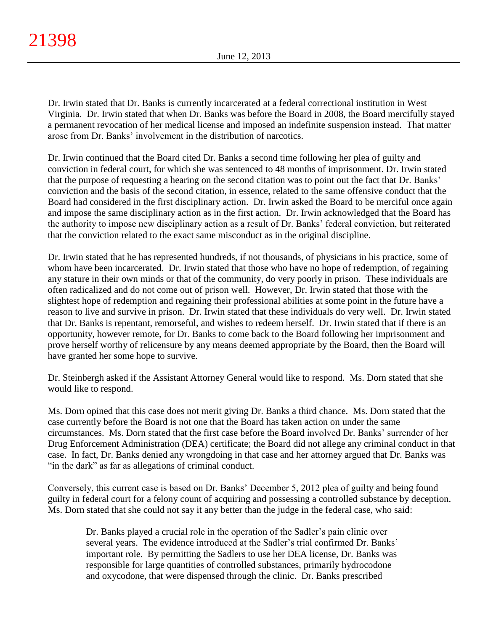Dr. Irwin stated that Dr. Banks is currently incarcerated at a federal correctional institution in West Virginia. Dr. Irwin stated that when Dr. Banks was before the Board in 2008, the Board mercifully stayed a permanent revocation of her medical license and imposed an indefinite suspension instead. That matter arose from Dr. Banks' involvement in the distribution of narcotics.

Dr. Irwin continued that the Board cited Dr. Banks a second time following her plea of guilty and conviction in federal court, for which she was sentenced to 48 months of imprisonment. Dr. Irwin stated that the purpose of requesting a hearing on the second citation was to point out the fact that Dr. Banks' conviction and the basis of the second citation, in essence, related to the same offensive conduct that the Board had considered in the first disciplinary action. Dr. Irwin asked the Board to be merciful once again and impose the same disciplinary action as in the first action. Dr. Irwin acknowledged that the Board has the authority to impose new disciplinary action as a result of Dr. Banks' federal conviction, but reiterated that the conviction related to the exact same misconduct as in the original discipline.

Dr. Irwin stated that he has represented hundreds, if not thousands, of physicians in his practice, some of whom have been incarcerated. Dr. Irwin stated that those who have no hope of redemption, of regaining any stature in their own minds or that of the community, do very poorly in prison. These individuals are often radicalized and do not come out of prison well. However, Dr. Irwin stated that those with the slightest hope of redemption and regaining their professional abilities at some point in the future have a reason to live and survive in prison. Dr. Irwin stated that these individuals do very well. Dr. Irwin stated that Dr. Banks is repentant, remorseful, and wishes to redeem herself. Dr. Irwin stated that if there is an opportunity, however remote, for Dr. Banks to come back to the Board following her imprisonment and prove herself worthy of relicensure by any means deemed appropriate by the Board, then the Board will have granted her some hope to survive.

Dr. Steinbergh asked if the Assistant Attorney General would like to respond. Ms. Dorn stated that she would like to respond.

Ms. Dorn opined that this case does not merit giving Dr. Banks a third chance. Ms. Dorn stated that the case currently before the Board is not one that the Board has taken action on under the same circumstances. Ms. Dorn stated that the first case before the Board involved Dr. Banks' surrender of her Drug Enforcement Administration (DEA) certificate; the Board did not allege any criminal conduct in that case. In fact, Dr. Banks denied any wrongdoing in that case and her attorney argued that Dr. Banks was "in the dark" as far as allegations of criminal conduct.

Conversely, this current case is based on Dr. Banks' December 5, 2012 plea of guilty and being found guilty in federal court for a felony count of acquiring and possessing a controlled substance by deception. Ms. Dorn stated that she could not say it any better than the judge in the federal case, who said:

Dr. Banks played a crucial role in the operation of the Sadler's pain clinic over several years. The evidence introduced at the Sadler's trial confirmed Dr. Banks' important role. By permitting the Sadlers to use her DEA license, Dr. Banks was responsible for large quantities of controlled substances, primarily hydrocodone and oxycodone, that were dispensed through the clinic. Dr. Banks prescribed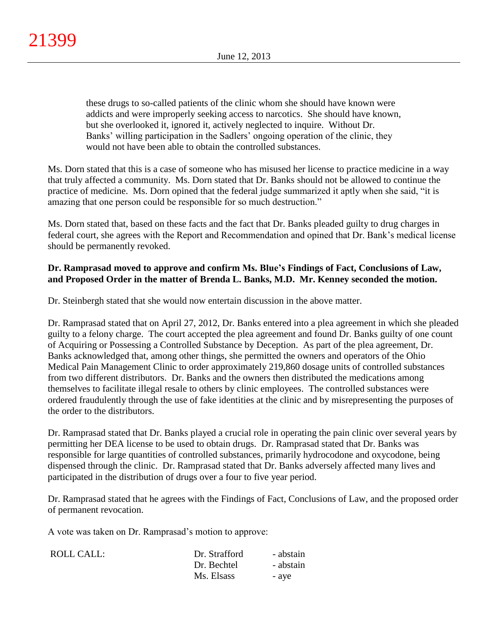these drugs to so-called patients of the clinic whom she should have known were addicts and were improperly seeking access to narcotics. She should have known, but she overlooked it, ignored it, actively neglected to inquire. Without Dr. Banks' willing participation in the Sadlers' ongoing operation of the clinic, they would not have been able to obtain the controlled substances.

Ms. Dorn stated that this is a case of someone who has misused her license to practice medicine in a way that truly affected a community. Ms. Dorn stated that Dr. Banks should not be allowed to continue the practice of medicine. Ms. Dorn opined that the federal judge summarized it aptly when she said, "it is amazing that one person could be responsible for so much destruction."

Ms. Dorn stated that, based on these facts and the fact that Dr. Banks pleaded guilty to drug charges in federal court, she agrees with the Report and Recommendation and opined that Dr. Bank's medical license should be permanently revoked.

# **Dr. Ramprasad moved to approve and confirm Ms. Blue's Findings of Fact, Conclusions of Law, and Proposed Order in the matter of Brenda L. Banks, M.D. Mr. Kenney seconded the motion.**

Dr. Steinbergh stated that she would now entertain discussion in the above matter.

Dr. Ramprasad stated that on April 27, 2012, Dr. Banks entered into a plea agreement in which she pleaded guilty to a felony charge. The court accepted the plea agreement and found Dr. Banks guilty of one count of Acquiring or Possessing a Controlled Substance by Deception. As part of the plea agreement, Dr. Banks acknowledged that, among other things, she permitted the owners and operators of the Ohio Medical Pain Management Clinic to order approximately 219,860 dosage units of controlled substances from two different distributors. Dr. Banks and the owners then distributed the medications among themselves to facilitate illegal resale to others by clinic employees. The controlled substances were ordered fraudulently through the use of fake identities at the clinic and by misrepresenting the purposes of the order to the distributors.

Dr. Ramprasad stated that Dr. Banks played a crucial role in operating the pain clinic over several years by permitting her DEA license to be used to obtain drugs. Dr. Ramprasad stated that Dr. Banks was responsible for large quantities of controlled substances, primarily hydrocodone and oxycodone, being dispensed through the clinic. Dr. Ramprasad stated that Dr. Banks adversely affected many lives and participated in the distribution of drugs over a four to five year period.

Dr. Ramprasad stated that he agrees with the Findings of Fact, Conclusions of Law, and the proposed order of permanent revocation.

A vote was taken on Dr. Ramprasad's motion to approve:

| ROLL CALL: | Dr. Strafford | - abstain |
|------------|---------------|-----------|
|            | Dr. Bechtel   | - abstain |
|            | Ms. Elsass    | - ave     |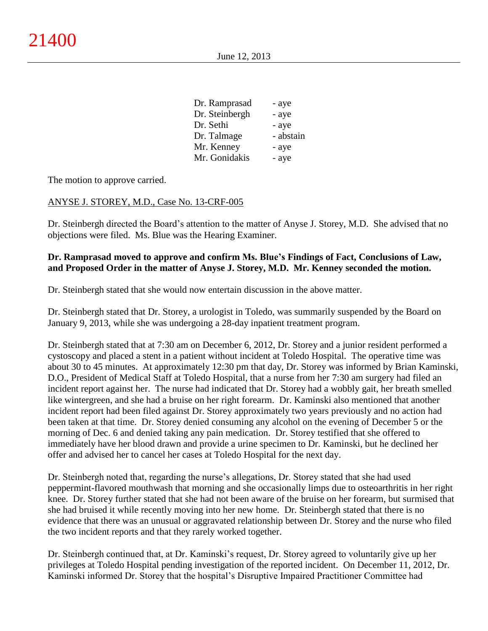| Dr. Ramprasad  | - aye     |
|----------------|-----------|
| Dr. Steinbergh | - aye     |
| Dr. Sethi      | - aye     |
| Dr. Talmage    | - abstain |
| Mr. Kenney     | - aye     |
| Mr. Gonidakis  | - aye     |
|                |           |

The motion to approve carried.

### ANYSE J. STOREY, M.D., Case No. 13-CRF-005

Dr. Steinbergh directed the Board's attention to the matter of Anyse J. Storey, M.D. She advised that no objections were filed. Ms. Blue was the Hearing Examiner.

## **Dr. Ramprasad moved to approve and confirm Ms. Blue's Findings of Fact, Conclusions of Law, and Proposed Order in the matter of Anyse J. Storey, M.D. Mr. Kenney seconded the motion.**

Dr. Steinbergh stated that she would now entertain discussion in the above matter.

Dr. Steinbergh stated that Dr. Storey, a urologist in Toledo, was summarily suspended by the Board on January 9, 2013, while she was undergoing a 28-day inpatient treatment program.

Dr. Steinbergh stated that at 7:30 am on December 6, 2012, Dr. Storey and a junior resident performed a cystoscopy and placed a stent in a patient without incident at Toledo Hospital. The operative time was about 30 to 45 minutes. At approximately 12:30 pm that day, Dr. Storey was informed by Brian Kaminski, D.O., President of Medical Staff at Toledo Hospital, that a nurse from her 7:30 am surgery had filed an incident report against her. The nurse had indicated that Dr. Storey had a wobbly gait, her breath smelled like wintergreen, and she had a bruise on her right forearm. Dr. Kaminski also mentioned that another incident report had been filed against Dr. Storey approximately two years previously and no action had been taken at that time. Dr. Storey denied consuming any alcohol on the evening of December 5 or the morning of Dec. 6 and denied taking any pain medication. Dr. Storey testified that she offered to immediately have her blood drawn and provide a urine specimen to Dr. Kaminski, but he declined her offer and advised her to cancel her cases at Toledo Hospital for the next day.

Dr. Steinbergh noted that, regarding the nurse's allegations, Dr. Storey stated that she had used peppermint-flavored mouthwash that morning and she occasionally limps due to osteoarthritis in her right knee. Dr. Storey further stated that she had not been aware of the bruise on her forearm, but surmised that she had bruised it while recently moving into her new home. Dr. Steinbergh stated that there is no evidence that there was an unusual or aggravated relationship between Dr. Storey and the nurse who filed the two incident reports and that they rarely worked together.

Dr. Steinbergh continued that, at Dr. Kaminski's request, Dr. Storey agreed to voluntarily give up her privileges at Toledo Hospital pending investigation of the reported incident. On December 11, 2012, Dr. Kaminski informed Dr. Storey that the hospital's Disruptive Impaired Practitioner Committee had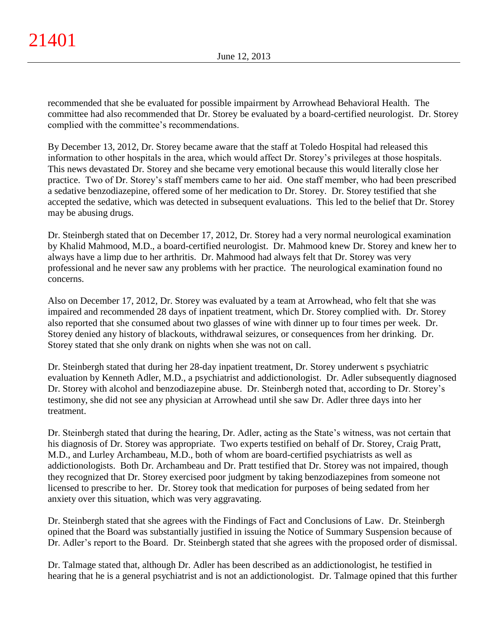recommended that she be evaluated for possible impairment by Arrowhead Behavioral Health. The committee had also recommended that Dr. Storey be evaluated by a board-certified neurologist. Dr. Storey complied with the committee's recommendations.

By December 13, 2012, Dr. Storey became aware that the staff at Toledo Hospital had released this information to other hospitals in the area, which would affect Dr. Storey's privileges at those hospitals. This news devastated Dr. Storey and she became very emotional because this would literally close her practice. Two of Dr. Storey's staff members came to her aid. One staff member, who had been prescribed a sedative benzodiazepine, offered some of her medication to Dr. Storey. Dr. Storey testified that she accepted the sedative, which was detected in subsequent evaluations. This led to the belief that Dr. Storey may be abusing drugs.

Dr. Steinbergh stated that on December 17, 2012, Dr. Storey had a very normal neurological examination by Khalid Mahmood, M.D., a board-certified neurologist. Dr. Mahmood knew Dr. Storey and knew her to always have a limp due to her arthritis. Dr. Mahmood had always felt that Dr. Storey was very professional and he never saw any problems with her practice. The neurological examination found no concerns.

Also on December 17, 2012, Dr. Storey was evaluated by a team at Arrowhead, who felt that she was impaired and recommended 28 days of inpatient treatment, which Dr. Storey complied with. Dr. Storey also reported that she consumed about two glasses of wine with dinner up to four times per week. Dr. Storey denied any history of blackouts, withdrawal seizures, or consequences from her drinking. Dr. Storey stated that she only drank on nights when she was not on call.

Dr. Steinbergh stated that during her 28-day inpatient treatment, Dr. Storey underwent s psychiatric evaluation by Kenneth Adler, M.D., a psychiatrist and addictionologist. Dr. Adler subsequently diagnosed Dr. Storey with alcohol and benzodiazepine abuse. Dr. Steinbergh noted that, according to Dr. Storey's testimony, she did not see any physician at Arrowhead until she saw Dr. Adler three days into her treatment.

Dr. Steinbergh stated that during the hearing, Dr. Adler, acting as the State's witness, was not certain that his diagnosis of Dr. Storey was appropriate. Two experts testified on behalf of Dr. Storey, Craig Pratt, M.D., and Lurley Archambeau, M.D., both of whom are board-certified psychiatrists as well as addictionologists. Both Dr. Archambeau and Dr. Pratt testified that Dr. Storey was not impaired, though they recognized that Dr. Storey exercised poor judgment by taking benzodiazepines from someone not licensed to prescribe to her. Dr. Storey took that medication for purposes of being sedated from her anxiety over this situation, which was very aggravating.

Dr. Steinbergh stated that she agrees with the Findings of Fact and Conclusions of Law. Dr. Steinbergh opined that the Board was substantially justified in issuing the Notice of Summary Suspension because of Dr. Adler's report to the Board. Dr. Steinbergh stated that she agrees with the proposed order of dismissal.

Dr. Talmage stated that, although Dr. Adler has been described as an addictionologist, he testified in hearing that he is a general psychiatrist and is not an addictionologist. Dr. Talmage opined that this further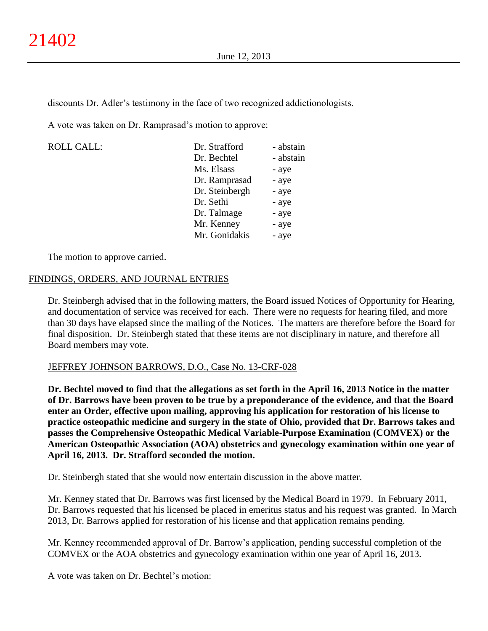discounts Dr. Adler's testimony in the face of two recognized addictionologists.

A vote was taken on Dr. Ramprasad's motion to approve:

 $ROLL CALL$ :

| Dr. Strafford  | - abstain |
|----------------|-----------|
| Dr. Bechtel    | - abstain |
| Ms. Elsass     | - aye     |
| Dr. Ramprasad  | - aye     |
| Dr. Steinbergh | - aye     |
| Dr. Sethi      | - aye     |
| Dr. Talmage    | - aye     |
| Mr. Kenney     | - aye     |
| Mr. Gonidakis  | - aye     |

The motion to approve carried.

## FINDINGS, ORDERS, AND JOURNAL ENTRIES

Dr. Steinbergh advised that in the following matters, the Board issued Notices of Opportunity for Hearing, and documentation of service was received for each. There were no requests for hearing filed, and more than 30 days have elapsed since the mailing of the Notices.The matters are therefore before the Board for final disposition. Dr. Steinbergh stated that these items are not disciplinary in nature, and therefore all Board members may vote.

## JEFFREY JOHNSON BARROWS, D.O., Case No. 13-CRF-028

**Dr. Bechtel moved to find that the allegations as set forth in the April 16, 2013 Notice in the matter of Dr. Barrows have been proven to be true by a preponderance of the evidence, and that the Board enter an Order, effective upon mailing, approving his application for restoration of his license to practice osteopathic medicine and surgery in the state of Ohio, provided that Dr. Barrows takes and passes the Comprehensive Osteopathic Medical Variable-Purpose Examination (COMVEX) or the American Osteopathic Association (AOA) obstetrics and gynecology examination within one year of April 16, 2013. Dr. Strafford seconded the motion.**

Dr. Steinbergh stated that she would now entertain discussion in the above matter.

Mr. Kenney stated that Dr. Barrows was first licensed by the Medical Board in 1979. In February 2011, Dr. Barrows requested that his licensed be placed in emeritus status and his request was granted. In March 2013, Dr. Barrows applied for restoration of his license and that application remains pending.

Mr. Kenney recommended approval of Dr. Barrow's application, pending successful completion of the COMVEX or the AOA obstetrics and gynecology examination within one year of April 16, 2013.

A vote was taken on Dr. Bechtel's motion: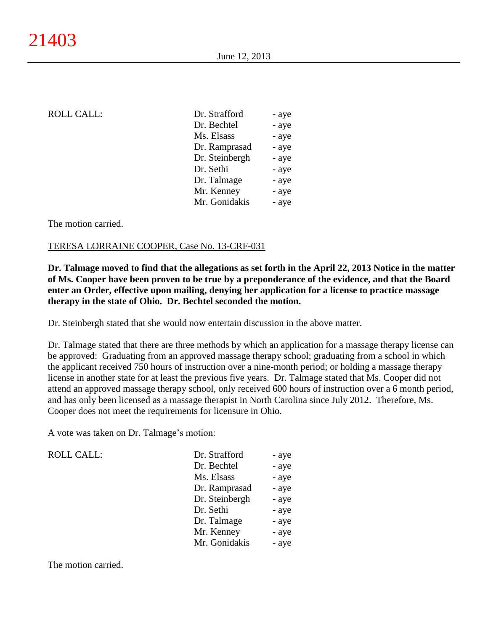# $ROLL CALL$ :

| Dr. Strafford  | - aye |
|----------------|-------|
| Dr. Bechtel    | - aye |
| Ms. Elsass     | - aye |
| Dr. Ramprasad  | - aye |
| Dr. Steinbergh | - aye |
| Dr. Sethi      | - aye |
| Dr. Talmage    | - aye |
| Mr. Kenney     | - aye |
| Mr. Gonidakis  | - aye |
|                |       |

The motion carried.

### TERESA LORRAINE COOPER, Case No. 13-CRF-031

**Dr. Talmage moved to find that the allegations as set forth in the April 22, 2013 Notice in the matter of Ms. Cooper have been proven to be true by a preponderance of the evidence, and that the Board enter an Order, effective upon mailing, denying her application for a license to practice massage therapy in the state of Ohio. Dr. Bechtel seconded the motion.**

Dr. Steinbergh stated that she would now entertain discussion in the above matter.

Dr. Talmage stated that there are three methods by which an application for a massage therapy license can be approved: Graduating from an approved massage therapy school; graduating from a school in which the applicant received 750 hours of instruction over a nine-month period; or holding a massage therapy license in another state for at least the previous five years. Dr. Talmage stated that Ms. Cooper did not attend an approved massage therapy school, only received 600 hours of instruction over a 6 month period, and has only been licensed as a massage therapist in North Carolina since July 2012. Therefore, Ms. Cooper does not meet the requirements for licensure in Ohio.

A vote was taken on Dr. Talmage's motion:

 $ROLL CALL$ :

| Dr. Strafford  | - aye |
|----------------|-------|
| Dr. Bechtel    | - aye |
| Ms. Elsass     | - aye |
| Dr. Ramprasad  | - aye |
| Dr. Steinbergh | - aye |
| Dr. Sethi      | - aye |
| Dr. Talmage    | - aye |
| Mr. Kenney     | - aye |
| Mr. Gonidakis  | - aye |

The motion carried.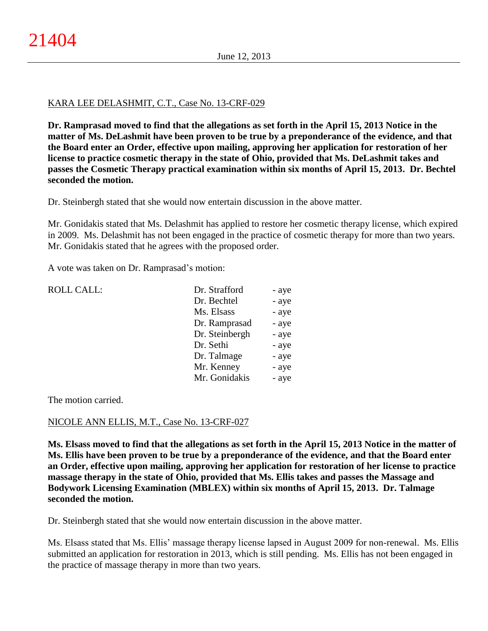# KARA LEE DELASHMIT, C.T., Case No. 13-CRF-029

**Dr. Ramprasad moved to find that the allegations as set forth in the April 15, 2013 Notice in the matter of Ms. DeLashmit have been proven to be true by a preponderance of the evidence, and that the Board enter an Order, effective upon mailing, approving her application for restoration of her license to practice cosmetic therapy in the state of Ohio, provided that Ms. DeLashmit takes and passes the Cosmetic Therapy practical examination within six months of April 15, 2013. Dr. Bechtel seconded the motion.**

Dr. Steinbergh stated that she would now entertain discussion in the above matter.

Mr. Gonidakis stated that Ms. Delashmit has applied to restore her cosmetic therapy license, which expired in 2009. Ms. Delashmit has not been engaged in the practice of cosmetic therapy for more than two years. Mr. Gonidakis stated that he agrees with the proposed order.

A vote was taken on Dr. Ramprasad's motion:

| <b>ROLL CALL:</b> | Dr. Strafford  | - aye |
|-------------------|----------------|-------|
|                   | Dr. Bechtel    | - aye |
|                   | Ms. Elsass     | - aye |
|                   | Dr. Ramprasad  | - aye |
|                   | Dr. Steinbergh | - aye |
|                   | Dr. Sethi      | - aye |
|                   | Dr. Talmage    | - aye |
|                   | Mr. Kenney     | - aye |
|                   | Mr. Gonidakis  | - aye |
|                   |                |       |

The motion carried.

## NICOLE ANN ELLIS, M.T., Case No. 13-CRF-027

**Ms. Elsass moved to find that the allegations as set forth in the April 15, 2013 Notice in the matter of Ms. Ellis have been proven to be true by a preponderance of the evidence, and that the Board enter an Order, effective upon mailing, approving her application for restoration of her license to practice massage therapy in the state of Ohio, provided that Ms. Ellis takes and passes the Massage and Bodywork Licensing Examination (MBLEX) within six months of April 15, 2013. Dr. Talmage seconded the motion.**

Dr. Steinbergh stated that she would now entertain discussion in the above matter.

Ms. Elsass stated that Ms. Ellis' massage therapy license lapsed in August 2009 for non-renewal. Ms. Ellis submitted an application for restoration in 2013, which is still pending. Ms. Ellis has not been engaged in the practice of massage therapy in more than two years.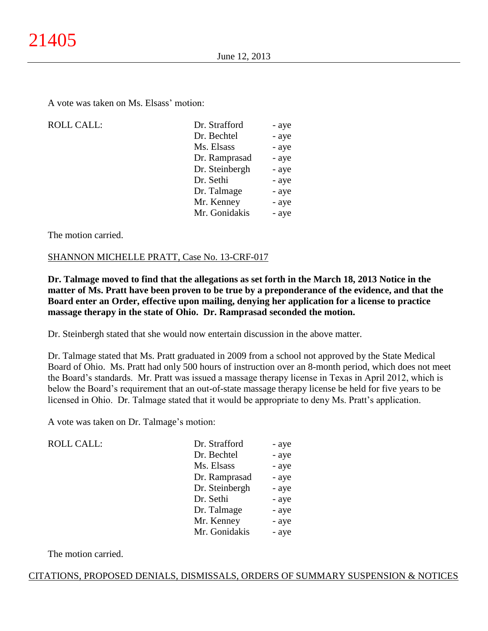A vote was taken on Ms. Elsass' motion:

| <b>ROLL CALL:</b> | Dr. Strafford  | - aye |
|-------------------|----------------|-------|
|                   | Dr. Bechtel    | - aye |
|                   | Ms. Elsass     | - aye |
|                   | Dr. Ramprasad  | - aye |
|                   | Dr. Steinbergh | - aye |
|                   | Dr. Sethi      | - aye |
|                   | Dr. Talmage    | - aye |
|                   | Mr. Kenney     | - aye |
|                   | Mr. Gonidakis  | - aye |
|                   |                |       |

The motion carried.

## SHANNON MICHELLE PRATT, Case No. 13-CRF-017

**Dr. Talmage moved to find that the allegations as set forth in the March 18, 2013 Notice in the matter of Ms. Pratt have been proven to be true by a preponderance of the evidence, and that the Board enter an Order, effective upon mailing, denying her application for a license to practice massage therapy in the state of Ohio. Dr. Ramprasad seconded the motion.**

Dr. Steinbergh stated that she would now entertain discussion in the above matter.

Dr. Talmage stated that Ms. Pratt graduated in 2009 from a school not approved by the State Medical Board of Ohio. Ms. Pratt had only 500 hours of instruction over an 8-month period, which does not meet the Board's standards. Mr. Pratt was issued a massage therapy license in Texas in April 2012, which is below the Board's requirement that an out-of-state massage therapy license be held for five years to be licensed in Ohio. Dr. Talmage stated that it would be appropriate to deny Ms. Pratt's application.

A vote was taken on Dr. Talmage's motion:

| <b>ROLL CALL:</b> | Dr. Strafford  | - aye |
|-------------------|----------------|-------|
|                   | Dr. Bechtel    | - aye |
|                   | Ms. Elsass     | - aye |
|                   | Dr. Ramprasad  | - aye |
|                   | Dr. Steinbergh | - aye |
|                   | Dr. Sethi      | - aye |
|                   | Dr. Talmage    | - aye |
|                   | Mr. Kenney     | - aye |
|                   | Mr. Gonidakis  | - aye |
|                   |                |       |

The motion carried.

### CITATIONS, PROPOSED DENIALS, DISMISSALS, ORDERS OF SUMMARY SUSPENSION & NOTICES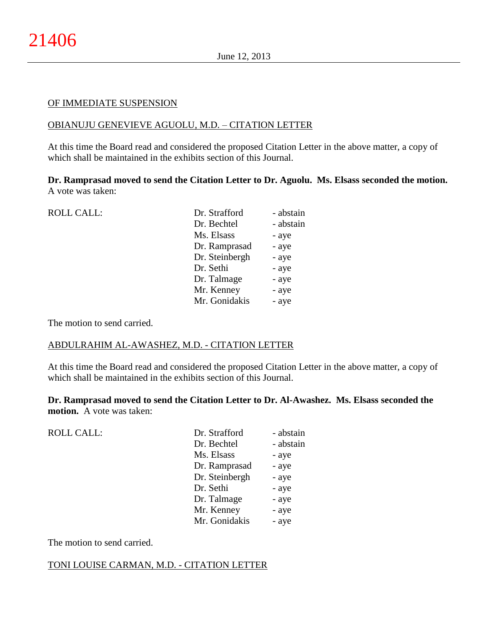### OF IMMEDIATE SUSPENSION

## OBIANUJU GENEVIEVE AGUOLU, M.D. – CITATION LETTER

At this time the Board read and considered the proposed Citation Letter in the above matter, a copy of which shall be maintained in the exhibits section of this Journal.

**Dr. Ramprasad moved to send the Citation Letter to Dr. Aguolu. Ms. Elsass seconded the motion.** A vote was taken:

| <b>ROLL CALL:</b> | Dr. Strafford  | - abstain |
|-------------------|----------------|-----------|
|                   | Dr. Bechtel    | - abstain |
|                   | Ms. Elsass     | - aye     |
|                   | Dr. Ramprasad  | - aye     |
|                   | Dr. Steinbergh | - aye     |
|                   | Dr. Sethi      | - aye     |
|                   | Dr. Talmage    | - aye     |
|                   | Mr. Kenney     | - aye     |
|                   | Mr. Gonidakis  | - aye     |
|                   |                |           |

The motion to send carried.

## ABDULRAHIM AL-AWASHEZ, M.D. - CITATION LETTER

At this time the Board read and considered the proposed Citation Letter in the above matter, a copy of which shall be maintained in the exhibits section of this Journal.

**Dr. Ramprasad moved to send the Citation Letter to Dr. Al-Awashez. Ms. Elsass seconded the motion.** A vote was taken:

ROLL CALL: Dr. Strafford - abstain Dr. Bechtel - abstain Ms. Elsass - aye Dr. Ramprasad - aye Dr. Steinbergh - aye Dr. Sethi - aye Dr. Talmage - aye Mr. Kenney - aye Mr. Gonidakis - aye

The motion to send carried.

## TONI LOUISE CARMAN, M.D. - CITATION LETTER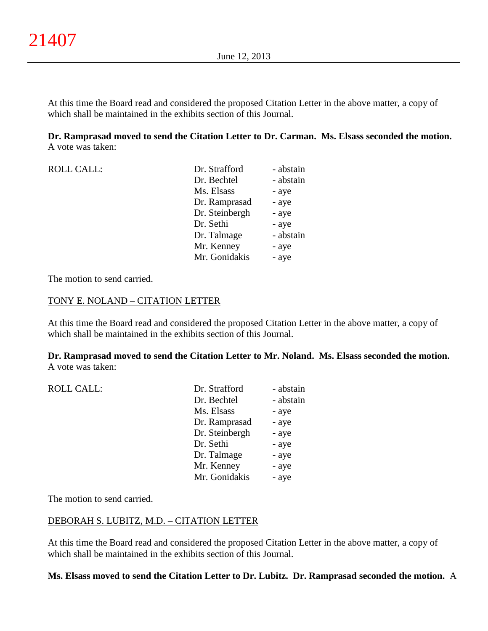At this time the Board read and considered the proposed Citation Letter in the above matter, a copy of which shall be maintained in the exhibits section of this Journal.

**Dr. Ramprasad moved to send the Citation Letter to Dr. Carman. Ms. Elsass seconded the motion.** A vote was taken:

| <b>ROLL CALL:</b> | Dr. Strafford  | - abstain |
|-------------------|----------------|-----------|
|                   | Dr. Bechtel    | - abstain |
|                   | Ms. Elsass     | - aye     |
|                   | Dr. Ramprasad  | - aye     |
|                   | Dr. Steinbergh | - aye     |
|                   | Dr. Sethi      | - aye     |
|                   | Dr. Talmage    | - abstain |
|                   | Mr. Kenney     | - aye     |
|                   | Mr. Gonidakis  | - aye     |

The motion to send carried.

## TONY E. NOLAND – CITATION LETTER

At this time the Board read and considered the proposed Citation Letter in the above matter, a copy of which shall be maintained in the exhibits section of this Journal.

**Dr. Ramprasad moved to send the Citation Letter to Mr. Noland. Ms. Elsass seconded the motion.** A vote was taken:

| <b>ROLL CALL:</b> | Dr. Strafford  | - abstain |
|-------------------|----------------|-----------|
|                   | Dr. Bechtel    | - abstain |
|                   | Ms. Elsass     | - aye     |
|                   | Dr. Ramprasad  | - aye     |
|                   | Dr. Steinbergh | - aye     |
|                   | Dr. Sethi      | - aye     |
|                   | Dr. Talmage    | - aye     |
|                   | Mr. Kenney     | - aye     |
|                   | Mr. Gonidakis  | - aye     |
|                   |                |           |

The motion to send carried.

# DEBORAH S. LUBITZ, M.D. – CITATION LETTER

At this time the Board read and considered the proposed Citation Letter in the above matter, a copy of which shall be maintained in the exhibits section of this Journal.

### **Ms. Elsass moved to send the Citation Letter to Dr. Lubitz. Dr. Ramprasad seconded the motion.** A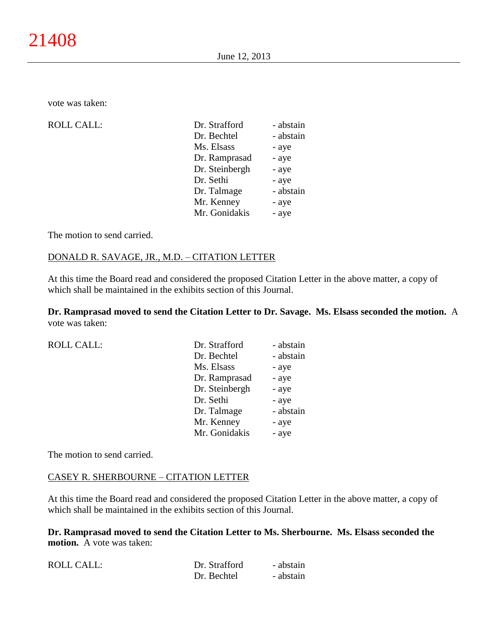vote was taken:

ROLL CALL:

| - abstain |
|-----------|
|           |
|           |
|           |
|           |
|           |
| - abstain |
|           |
|           |
|           |

The motion to send carried.

## DONALD R. SAVAGE, JR., M.D. – CITATION LETTER

At this time the Board read and considered the proposed Citation Letter in the above matter, a copy of which shall be maintained in the exhibits section of this Journal.

**Dr. Ramprasad moved to send the Citation Letter to Dr. Savage. Ms. Elsass seconded the motion.** A vote was taken:

| <b>ROLL CALL:</b> | Dr. Strafford  | - abstain |
|-------------------|----------------|-----------|
|                   | Dr. Bechtel    | - abstain |
|                   | Ms. Elsass     | - aye     |
|                   | Dr. Ramprasad  | - aye     |
|                   | Dr. Steinbergh | - aye     |
|                   | Dr. Sethi      | - aye     |
|                   | Dr. Talmage    | - abstain |
|                   | Mr. Kenney     | - aye     |
|                   | Mr. Gonidakis  | - aye     |
|                   |                |           |

The motion to send carried.

CASEY R. SHERBOURNE – CITATION LETTER

At this time the Board read and considered the proposed Citation Letter in the above matter, a copy of which shall be maintained in the exhibits section of this Journal.

**Dr. Ramprasad moved to send the Citation Letter to Ms. Sherbourne. Ms. Elsass seconded the motion.** A vote was taken:

| <b>ROLL CALL:</b> | Dr. Strafford | - abstain |
|-------------------|---------------|-----------|
|                   | Dr. Bechtel   | - abstain |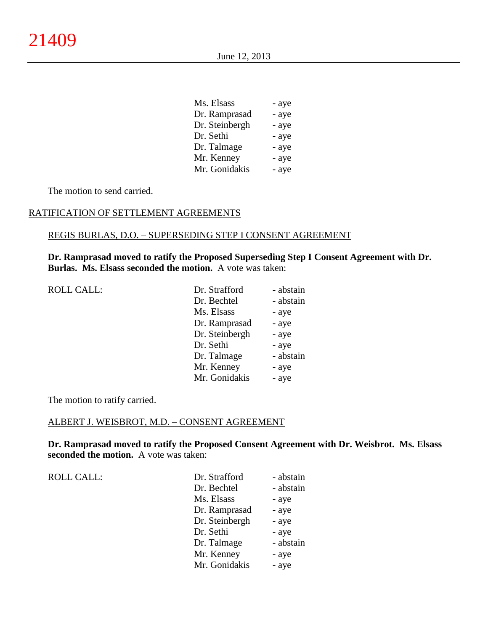| Ms. Elsass     | - aye |
|----------------|-------|
| Dr. Ramprasad  | - aye |
| Dr. Steinbergh | - aye |
| Dr. Sethi      | - aye |
| Dr. Talmage    | - aye |
| Mr. Kenney     | - aye |
| Mr. Gonidakis  | - aye |

The motion to send carried.

### RATIFICATION OF SETTLEMENT AGREEMENTS

# REGIS BURLAS, D.O. – SUPERSEDING STEP I CONSENT AGREEMENT

## **Dr. Ramprasad moved to ratify the Proposed Superseding Step I Consent Agreement with Dr. Burlas. Ms. Elsass seconded the motion.** A vote was taken:

ROLL CALL:

| Dr. Strafford  | - abstain |
|----------------|-----------|
| Dr. Bechtel    | - abstain |
| Ms. Elsass     | - aye     |
| Dr. Ramprasad  | - aye     |
| Dr. Steinbergh | - aye     |
| Dr. Sethi      | - aye     |
| Dr. Talmage    | - abstain |
| Mr. Kenney     | - aye     |
| Mr. Gonidakis  | - aye     |

The motion to ratify carried.

# ALBERT J. WEISBROT, M.D. – CONSENT AGREEMENT

**Dr. Ramprasad moved to ratify the Proposed Consent Agreement with Dr. Weisbrot. Ms. Elsass seconded the motion.** A vote was taken:

ROLL CALL:

| Dr. Strafford  | - abstain |
|----------------|-----------|
| Dr. Bechtel    | - abstain |
| Ms. Elsass     | - aye     |
| Dr. Ramprasad  | - aye     |
| Dr. Steinbergh | - aye     |
| Dr. Sethi      | - aye     |
| Dr. Talmage    | - abstain |
| Mr. Kenney     | - aye     |
| Mr. Gonidakis  | - aye     |
|                |           |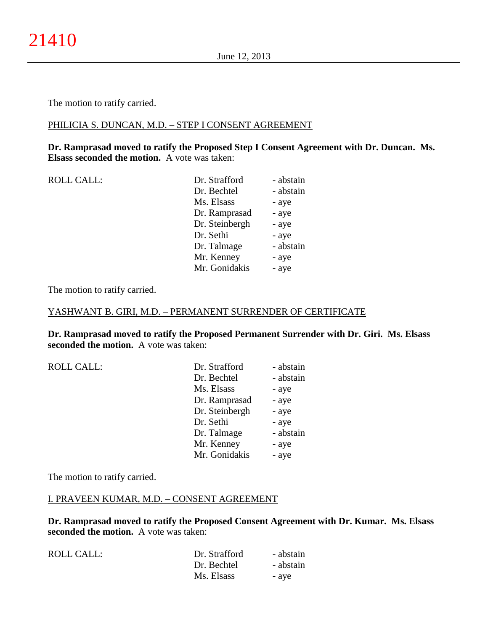The motion to ratify carried.

### PHILICIA S. DUNCAN, M.D. – STEP I CONSENT AGREEMENT

# **Dr. Ramprasad moved to ratify the Proposed Step I Consent Agreement with Dr. Duncan. Ms. Elsass seconded the motion.** A vote was taken:

| <b>ROLL CALL:</b> | Dr. Strafford  | - abstain |
|-------------------|----------------|-----------|
|                   | Dr. Bechtel    | - abstain |
|                   | Ms. Elsass     | - aye     |
|                   | Dr. Ramprasad  | - aye     |
|                   | Dr. Steinbergh | - aye     |
|                   | Dr. Sethi      | - aye     |
|                   | Dr. Talmage    | - abstain |
|                   | Mr. Kenney     | - aye     |
|                   | Mr. Gonidakis  | - aye     |

The motion to ratify carried.

### YASHWANT B. GIRI, M.D. – PERMANENT SURRENDER OF CERTIFICATE

**Dr. Ramprasad moved to ratify the Proposed Permanent Surrender with Dr. Giri. Ms. Elsass seconded the motion.** A vote was taken:

| <b>ROLL CALL:</b> | Dr. Strafford  | - abstain |
|-------------------|----------------|-----------|
|                   | Dr. Bechtel    | - abstain |
|                   | Ms. Elsass     | - aye     |
|                   | Dr. Ramprasad  | - aye     |
|                   | Dr. Steinbergh | - aye     |
|                   | Dr. Sethi      | - aye     |
|                   | Dr. Talmage    | - abstain |
|                   | Mr. Kenney     | - aye     |
|                   | Mr. Gonidakis  | - aye     |

The motion to ratify carried.

### I. PRAVEEN KUMAR, M.D. – CONSENT AGREEMENT

**Dr. Ramprasad moved to ratify the Proposed Consent Agreement with Dr. Kumar. Ms. Elsass seconded the motion.** A vote was taken:

| ROLL CALL: | Dr. Strafford | - abstain |
|------------|---------------|-----------|
|            | Dr. Bechtel   | - abstain |
|            | Ms. Elsass    | - ave     |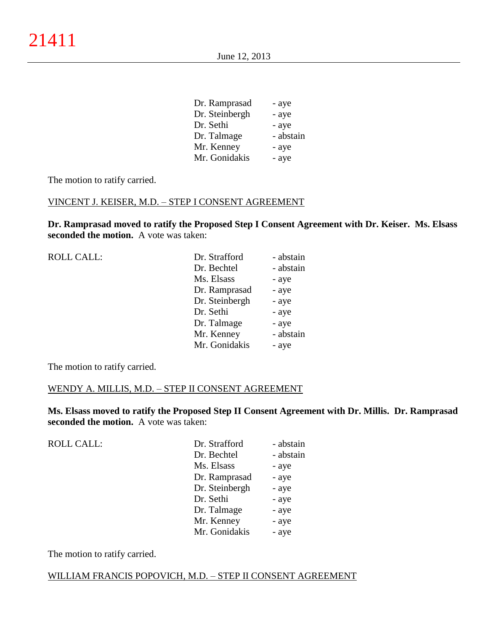| Dr. Ramprasad  | - aye     |
|----------------|-----------|
| Dr. Steinbergh | - aye     |
| Dr. Sethi      | - aye     |
| Dr. Talmage    | - abstain |
| Mr. Kenney     | - aye     |
| Mr. Gonidakis  | - aye     |

The motion to ratify carried.

### VINCENT J. KEISER, M.D. – STEP I CONSENT AGREEMENT

**Dr. Ramprasad moved to ratify the Proposed Step I Consent Agreement with Dr. Keiser. Ms. Elsass seconded the motion.** A vote was taken:

| Dr. Strafford  | - abstain |
|----------------|-----------|
| Dr. Bechtel    | - abstain |
| Ms. Elsass     | - aye     |
| Dr. Ramprasad  | - aye     |
| Dr. Steinbergh | - aye     |
| Dr. Sethi      | - aye     |
| Dr. Talmage    | - aye     |
| Mr. Kenney     | - abstain |
| Mr. Gonidakis  | - aye     |
|                |           |

The motion to ratify carried.

### WENDY A. MILLIS, M.D. – STEP II CONSENT AGREEMENT

**Ms. Elsass moved to ratify the Proposed Step II Consent Agreement with Dr. Millis. Dr. Ramprasad seconded the motion.** A vote was taken:

| <b>ROLL CALL:</b> | Dr. Strafford  | - abstain |
|-------------------|----------------|-----------|
|                   | Dr. Bechtel    | - abstain |
|                   | Ms. Elsass     | - aye     |
|                   | Dr. Ramprasad  | - aye     |
|                   | Dr. Steinbergh | - aye     |
|                   | Dr. Sethi      | - aye     |
|                   | Dr. Talmage    | - aye     |
|                   | Mr. Kenney     | - aye     |
|                   | Mr. Gonidakis  | - aye     |
|                   |                |           |

The motion to ratify carried.

# WILLIAM FRANCIS POPOVICH, M.D. – STEP II CONSENT AGREEMENT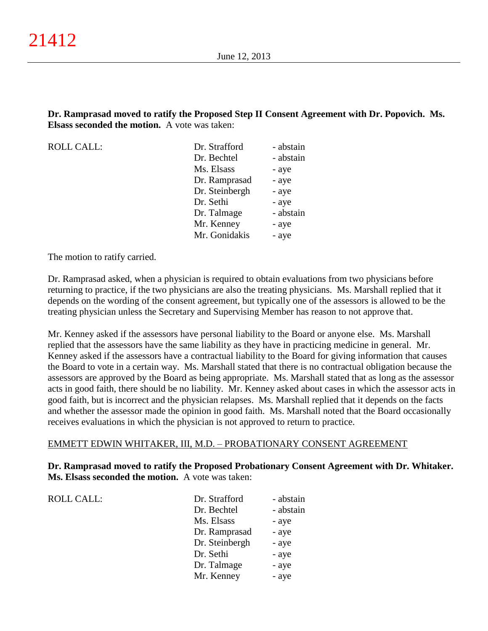**Dr. Ramprasad moved to ratify the Proposed Step II Consent Agreement with Dr. Popovich. Ms. Elsass seconded the motion.** A vote was taken:

ROLL CALL:

| Dr. Strafford  | - abstain |
|----------------|-----------|
| Dr. Bechtel    | - abstain |
| Ms. Elsass     | - aye     |
| Dr. Ramprasad  | - aye     |
| Dr. Steinbergh | - aye     |
| Dr. Sethi      | - aye     |
| Dr. Talmage    | - abstain |
| Mr. Kenney     | - aye     |
| Mr. Gonidakis  | - aye     |

The motion to ratify carried.

Dr. Ramprasad asked, when a physician is required to obtain evaluations from two physicians before returning to practice, if the two physicians are also the treating physicians. Ms. Marshall replied that it depends on the wording of the consent agreement, but typically one of the assessors is allowed to be the treating physician unless the Secretary and Supervising Member has reason to not approve that.

Mr. Kenney asked if the assessors have personal liability to the Board or anyone else. Ms. Marshall replied that the assessors have the same liability as they have in practicing medicine in general. Mr. Kenney asked if the assessors have a contractual liability to the Board for giving information that causes the Board to vote in a certain way. Ms. Marshall stated that there is no contractual obligation because the assessors are approved by the Board as being appropriate. Ms. Marshall stated that as long as the assessor acts in good faith, there should be no liability. Mr. Kenney asked about cases in which the assessor acts in good faith, but is incorrect and the physician relapses. Ms. Marshall replied that it depends on the facts and whether the assessor made the opinion in good faith. Ms. Marshall noted that the Board occasionally receives evaluations in which the physician is not approved to return to practice.

### EMMETT EDWIN WHITAKER, III, M.D. – PROBATIONARY CONSENT AGREEMENT

**Dr. Ramprasad moved to ratify the Proposed Probationary Consent Agreement with Dr. Whitaker. Ms. Elsass seconded the motion.** A vote was taken:

| <b>ROLL CALL:</b> | Dr. Strafford  | - abstain |
|-------------------|----------------|-----------|
|                   | Dr. Bechtel    | - abstain |
|                   | Ms. Elsass     | - aye     |
|                   | Dr. Ramprasad  | - aye     |
|                   | Dr. Steinbergh | - aye     |
|                   | Dr. Sethi      | - aye     |
|                   | Dr. Talmage    | - aye     |
|                   | Mr. Kenney     | - aye     |
|                   |                |           |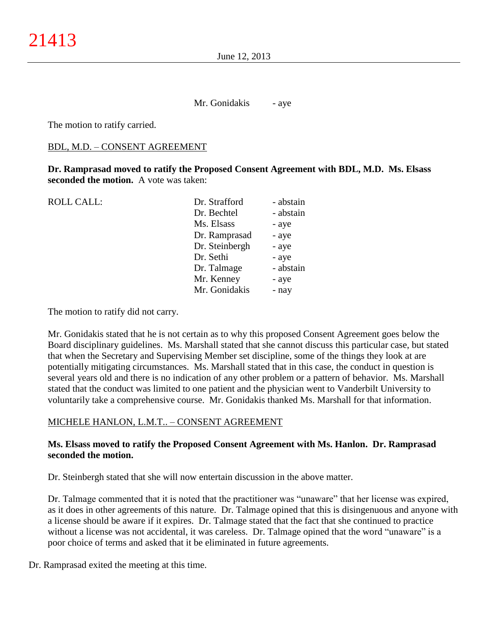Mr. Gonidakis - aye

The motion to ratify carried.

### BDL, M.D. – CONSENT AGREEMENT

**Dr. Ramprasad moved to ratify the Proposed Consent Agreement with BDL, M.D. Ms. Elsass seconded the motion.** A vote was taken:

ROLL CALL: Dr. Strafford - abstain

| ы. энапон      | - аныаш   |
|----------------|-----------|
| Dr. Bechtel    | - abstain |
| Ms. Elsass     | - aye     |
| Dr. Ramprasad  | - aye     |
| Dr. Steinbergh | - aye     |
| Dr. Sethi      | - aye     |
| Dr. Talmage    | - abstain |
| Mr. Kenney     | - aye     |
| Mr. Gonidakis  | - nay     |
|                |           |

The motion to ratify did not carry.

Mr. Gonidakis stated that he is not certain as to why this proposed Consent Agreement goes below the Board disciplinary guidelines. Ms. Marshall stated that she cannot discuss this particular case, but stated that when the Secretary and Supervising Member set discipline, some of the things they look at are potentially mitigating circumstances. Ms. Marshall stated that in this case, the conduct in question is several years old and there is no indication of any other problem or a pattern of behavior. Ms. Marshall stated that the conduct was limited to one patient and the physician went to Vanderbilt University to voluntarily take a comprehensive course. Mr. Gonidakis thanked Ms. Marshall for that information.

## MICHELE HANLON, L.M.T.. – CONSENT AGREEMENT

# **Ms. Elsass moved to ratify the Proposed Consent Agreement with Ms. Hanlon. Dr. Ramprasad seconded the motion.**

Dr. Steinbergh stated that she will now entertain discussion in the above matter.

Dr. Talmage commented that it is noted that the practitioner was "unaware" that her license was expired, as it does in other agreements of this nature. Dr. Talmage opined that this is disingenuous and anyone with a license should be aware if it expires. Dr. Talmage stated that the fact that she continued to practice without a license was not accidental, it was careless. Dr. Talmage opined that the word "unaware" is a poor choice of terms and asked that it be eliminated in future agreements.

Dr. Ramprasad exited the meeting at this time.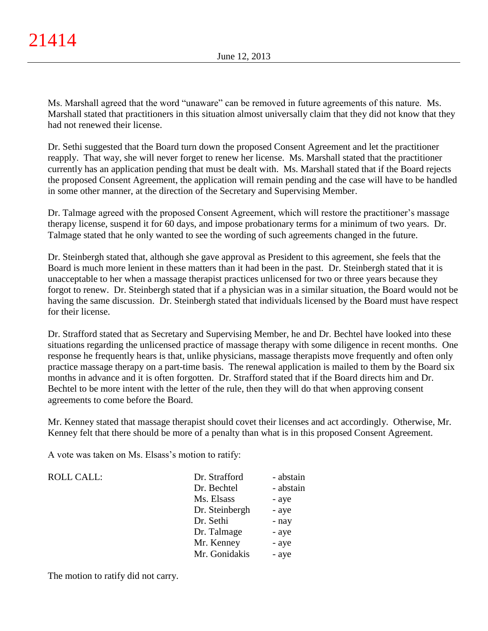Ms. Marshall agreed that the word "unaware" can be removed in future agreements of this nature. Ms. Marshall stated that practitioners in this situation almost universally claim that they did not know that they had not renewed their license.

Dr. Sethi suggested that the Board turn down the proposed Consent Agreement and let the practitioner reapply. That way, she will never forget to renew her license. Ms. Marshall stated that the practitioner currently has an application pending that must be dealt with. Ms. Marshall stated that if the Board rejects the proposed Consent Agreement, the application will remain pending and the case will have to be handled in some other manner, at the direction of the Secretary and Supervising Member.

Dr. Talmage agreed with the proposed Consent Agreement, which will restore the practitioner's massage therapy license, suspend it for 60 days, and impose probationary terms for a minimum of two years. Dr. Talmage stated that he only wanted to see the wording of such agreements changed in the future.

Dr. Steinbergh stated that, although she gave approval as President to this agreement, she feels that the Board is much more lenient in these matters than it had been in the past. Dr. Steinbergh stated that it is unacceptable to her when a massage therapist practices unlicensed for two or three years because they forgot to renew. Dr. Steinbergh stated that if a physician was in a similar situation, the Board would not be having the same discussion. Dr. Steinbergh stated that individuals licensed by the Board must have respect for their license.

Dr. Strafford stated that as Secretary and Supervising Member, he and Dr. Bechtel have looked into these situations regarding the unlicensed practice of massage therapy with some diligence in recent months. One response he frequently hears is that, unlike physicians, massage therapists move frequently and often only practice massage therapy on a part-time basis. The renewal application is mailed to them by the Board six months in advance and it is often forgotten. Dr. Strafford stated that if the Board directs him and Dr. Bechtel to be more intent with the letter of the rule, then they will do that when approving consent agreements to come before the Board.

Mr. Kenney stated that massage therapist should covet their licenses and act accordingly. Otherwise, Mr. Kenney felt that there should be more of a penalty than what is in this proposed Consent Agreement.

A vote was taken on Ms. Elsass's motion to ratify:

| <b>ROLL CALL:</b> | Dr. Strafford  | - abstain |
|-------------------|----------------|-----------|
|                   | Dr. Bechtel    | - abstain |
|                   | Ms. Elsass     | - aye     |
|                   | Dr. Steinbergh | - aye     |
|                   | Dr. Sethi      | - nay     |
|                   | Dr. Talmage    | - aye     |
|                   | Mr. Kenney     | - aye     |
|                   | Mr. Gonidakis  | - aye     |

The motion to ratify did not carry.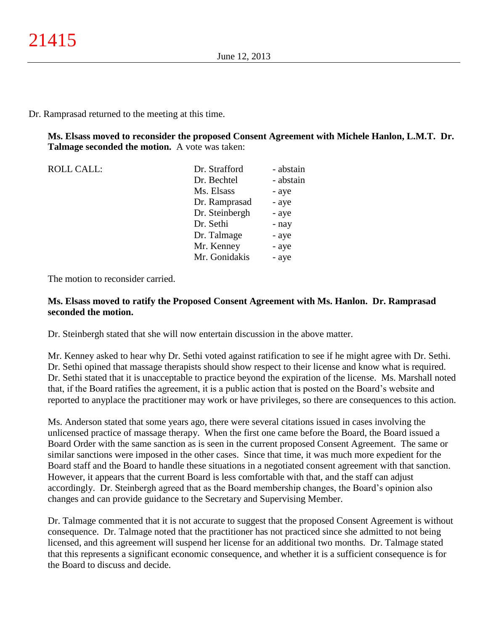### Dr. Ramprasad returned to the meeting at this time.

**Ms. Elsass moved to reconsider the proposed Consent Agreement with Michele Hanlon, L.M.T. Dr. Talmage seconded the motion.** A vote was taken:

| <b>ROLL CALL:</b> | Dr. Strafford  | - abstain |
|-------------------|----------------|-----------|
|                   | Dr. Bechtel    | - abstain |
|                   | Ms. Elsass     | - aye     |
|                   | Dr. Ramprasad  | - aye     |
|                   | Dr. Steinbergh | - aye     |
|                   | Dr. Sethi      | - nay     |
|                   | Dr. Talmage    | - aye     |
|                   | Mr. Kenney     | - aye     |
|                   | Mr. Gonidakis  | - aye     |

The motion to reconsider carried.

# **Ms. Elsass moved to ratify the Proposed Consent Agreement with Ms. Hanlon. Dr. Ramprasad seconded the motion.**

Dr. Steinbergh stated that she will now entertain discussion in the above matter.

Mr. Kenney asked to hear why Dr. Sethi voted against ratification to see if he might agree with Dr. Sethi. Dr. Sethi opined that massage therapists should show respect to their license and know what is required. Dr. Sethi stated that it is unacceptable to practice beyond the expiration of the license. Ms. Marshall noted that, if the Board ratifies the agreement, it is a public action that is posted on the Board's website and reported to anyplace the practitioner may work or have privileges, so there are consequences to this action.

Ms. Anderson stated that some years ago, there were several citations issued in cases involving the unlicensed practice of massage therapy. When the first one came before the Board, the Board issued a Board Order with the same sanction as is seen in the current proposed Consent Agreement. The same or similar sanctions were imposed in the other cases. Since that time, it was much more expedient for the Board staff and the Board to handle these situations in a negotiated consent agreement with that sanction. However, it appears that the current Board is less comfortable with that, and the staff can adjust accordingly. Dr. Steinbergh agreed that as the Board membership changes, the Board's opinion also changes and can provide guidance to the Secretary and Supervising Member.

Dr. Talmage commented that it is not accurate to suggest that the proposed Consent Agreement is without consequence. Dr. Talmage noted that the practitioner has not practiced since she admitted to not being licensed, and this agreement will suspend her license for an additional two months. Dr. Talmage stated that this represents a significant economic consequence, and whether it is a sufficient consequence is for the Board to discuss and decide.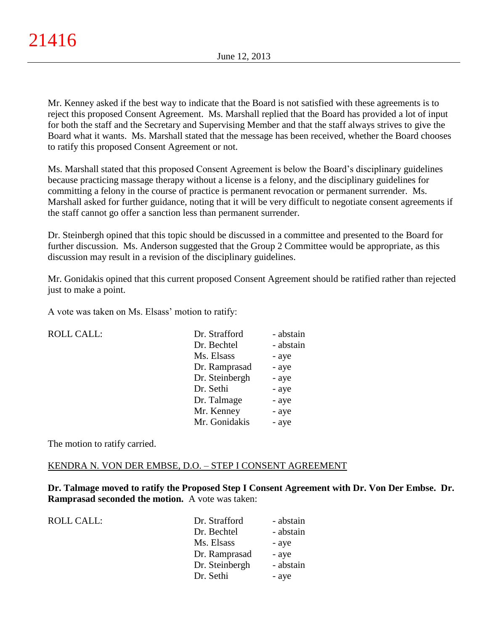Mr. Kenney asked if the best way to indicate that the Board is not satisfied with these agreements is to reject this proposed Consent Agreement. Ms. Marshall replied that the Board has provided a lot of input for both the staff and the Secretary and Supervising Member and that the staff always strives to give the Board what it wants. Ms. Marshall stated that the message has been received, whether the Board chooses to ratify this proposed Consent Agreement or not.

Ms. Marshall stated that this proposed Consent Agreement is below the Board's disciplinary guidelines because practicing massage therapy without a license is a felony, and the disciplinary guidelines for committing a felony in the course of practice is permanent revocation or permanent surrender. Ms. Marshall asked for further guidance, noting that it will be very difficult to negotiate consent agreements if the staff cannot go offer a sanction less than permanent surrender.

Dr. Steinbergh opined that this topic should be discussed in a committee and presented to the Board for further discussion. Ms. Anderson suggested that the Group 2 Committee would be appropriate, as this discussion may result in a revision of the disciplinary guidelines.

Mr. Gonidakis opined that this current proposed Consent Agreement should be ratified rather than rejected just to make a point.

A vote was taken on Ms. Elsass' motion to ratify:

| <b>ROLL CALL:</b> | Dr. Strafford  | - abstain |
|-------------------|----------------|-----------|
|                   | Dr. Bechtel    | - abstain |
|                   | Ms. Elsass     | - aye     |
|                   | Dr. Ramprasad  | - aye     |
|                   | Dr. Steinbergh | - aye     |
|                   | Dr. Sethi      | - aye     |
|                   | Dr. Talmage    | - aye     |
|                   | Mr. Kenney     | - aye     |
|                   | Mr. Gonidakis  | - aye     |
|                   |                |           |

The motion to ratify carried.

## KENDRA N. VON DER EMBSE, D.O. – STEP I CONSENT AGREEMENT

**Dr. Talmage moved to ratify the Proposed Step I Consent Agreement with Dr. Von Der Embse. Dr. Ramprasad seconded the motion.** A vote was taken:

| - abstain |
|-----------|
| - abstain |
| - aye     |
| - aye     |
| - abstain |
| - aye     |
|           |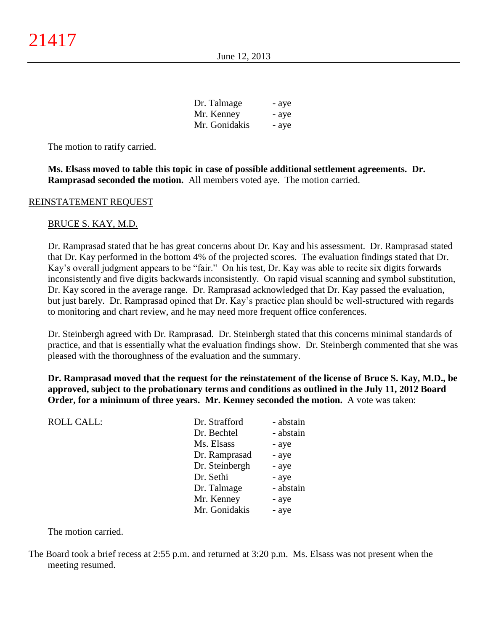| Dr. Talmage   | - aye |
|---------------|-------|
| Mr. Kenney    | - aye |
| Mr. Gonidakis | - ave |

The motion to ratify carried.

**Ms. Elsass moved to table this topic in case of possible additional settlement agreements. Dr. Ramprasad seconded the motion.** All members voted aye. The motion carried.

### REINSTATEMENT REQUEST

### BRUCE S. KAY, M.D.

Dr. Ramprasad stated that he has great concerns about Dr. Kay and his assessment. Dr. Ramprasad stated that Dr. Kay performed in the bottom 4% of the projected scores. The evaluation findings stated that Dr. Kay's overall judgment appears to be "fair." On his test, Dr. Kay was able to recite six digits forwards inconsistently and five digits backwards inconsistently. On rapid visual scanning and symbol substitution, Dr. Kay scored in the average range. Dr. Ramprasad acknowledged that Dr. Kay passed the evaluation, but just barely. Dr. Ramprasad opined that Dr. Kay's practice plan should be well-structured with regards to monitoring and chart review, and he may need more frequent office conferences.

Dr. Steinbergh agreed with Dr. Ramprasad. Dr. Steinbergh stated that this concerns minimal standards of practice, and that is essentially what the evaluation findings show. Dr. Steinbergh commented that she was pleased with the thoroughness of the evaluation and the summary.

**Dr. Ramprasad moved that the request for the reinstatement of the license of Bruce S. Kay, M.D., be approved, subject to the probationary terms and conditions as outlined in the July 11, 2012 Board Order, for a minimum of three years. Mr. Kenney seconded the motion.** A vote was taken:

| <b>ROLL CALL:</b> | Dr. Strafford  | - abstain |
|-------------------|----------------|-----------|
|                   | Dr. Bechtel    | - abstain |
|                   | Ms. Elsass     | - aye     |
|                   | Dr. Ramprasad  | - aye     |
|                   | Dr. Steinbergh | - aye     |
|                   | Dr. Sethi      | - aye     |
|                   | Dr. Talmage    | - abstain |
|                   | Mr. Kenney     | - aye     |
|                   | Mr. Gonidakis  | - aye     |
|                   |                |           |

The motion carried.

The Board took a brief recess at 2:55 p.m. and returned at 3:20 p.m. Ms. Elsass was not present when the meeting resumed.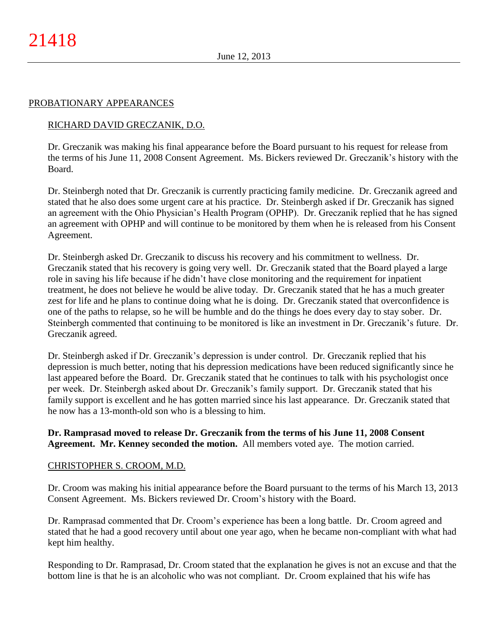### PROBATIONARY APPEARANCES

## RICHARD DAVID GRECZANIK, D.O.

Dr. Greczanik was making his final appearance before the Board pursuant to his request for release from the terms of his June 11, 2008 Consent Agreement. Ms. Bickers reviewed Dr. Greczanik's history with the Board.

Dr. Steinbergh noted that Dr. Greczanik is currently practicing family medicine. Dr. Greczanik agreed and stated that he also does some urgent care at his practice. Dr. Steinbergh asked if Dr. Greczanik has signed an agreement with the Ohio Physician's Health Program (OPHP). Dr. Greczanik replied that he has signed an agreement with OPHP and will continue to be monitored by them when he is released from his Consent Agreement.

Dr. Steinbergh asked Dr. Greczanik to discuss his recovery and his commitment to wellness. Dr. Greczanik stated that his recovery is going very well. Dr. Greczanik stated that the Board played a large role in saving his life because if he didn't have close monitoring and the requirement for inpatient treatment, he does not believe he would be alive today. Dr. Greczanik stated that he has a much greater zest for life and he plans to continue doing what he is doing. Dr. Greczanik stated that overconfidence is one of the paths to relapse, so he will be humble and do the things he does every day to stay sober. Dr. Steinbergh commented that continuing to be monitored is like an investment in Dr. Greczanik's future. Dr. Greczanik agreed.

Dr. Steinbergh asked if Dr. Greczanik's depression is under control. Dr. Greczanik replied that his depression is much better, noting that his depression medications have been reduced significantly since he last appeared before the Board. Dr. Greczanik stated that he continues to talk with his psychologist once per week. Dr. Steinbergh asked about Dr. Greczanik's family support. Dr. Greczanik stated that his family support is excellent and he has gotten married since his last appearance. Dr. Greczanik stated that he now has a 13-month-old son who is a blessing to him.

## **Dr. Ramprasad moved to release Dr. Greczanik from the terms of his June 11, 2008 Consent Agreement. Mr. Kenney seconded the motion.** All members voted aye. The motion carried.

## CHRISTOPHER S. CROOM, M.D.

Dr. Croom was making his initial appearance before the Board pursuant to the terms of his March 13, 2013 Consent Agreement. Ms. Bickers reviewed Dr. Croom's history with the Board.

Dr. Ramprasad commented that Dr. Croom's experience has been a long battle. Dr. Croom agreed and stated that he had a good recovery until about one year ago, when he became non-compliant with what had kept him healthy.

Responding to Dr. Ramprasad, Dr. Croom stated that the explanation he gives is not an excuse and that the bottom line is that he is an alcoholic who was not compliant. Dr. Croom explained that his wife has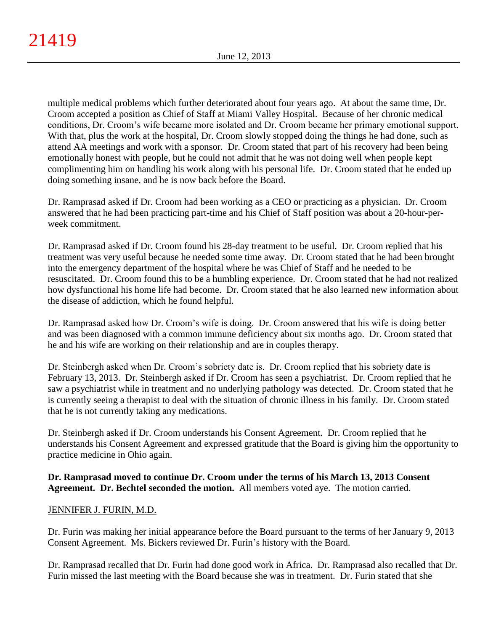multiple medical problems which further deteriorated about four years ago. At about the same time, Dr. Croom accepted a position as Chief of Staff at Miami Valley Hospital. Because of her chronic medical conditions, Dr. Croom's wife became more isolated and Dr. Croom became her primary emotional support. With that, plus the work at the hospital, Dr. Croom slowly stopped doing the things he had done, such as attend AA meetings and work with a sponsor. Dr. Croom stated that part of his recovery had been being emotionally honest with people, but he could not admit that he was not doing well when people kept complimenting him on handling his work along with his personal life. Dr. Croom stated that he ended up doing something insane, and he is now back before the Board.

Dr. Ramprasad asked if Dr. Croom had been working as a CEO or practicing as a physician. Dr. Croom answered that he had been practicing part-time and his Chief of Staff position was about a 20-hour-perweek commitment.

Dr. Ramprasad asked if Dr. Croom found his 28-day treatment to be useful. Dr. Croom replied that his treatment was very useful because he needed some time away. Dr. Croom stated that he had been brought into the emergency department of the hospital where he was Chief of Staff and he needed to be resuscitated. Dr. Croom found this to be a humbling experience. Dr. Croom stated that he had not realized how dysfunctional his home life had become. Dr. Croom stated that he also learned new information about the disease of addiction, which he found helpful.

Dr. Ramprasad asked how Dr. Croom's wife is doing. Dr. Croom answered that his wife is doing better and was been diagnosed with a common immune deficiency about six months ago. Dr. Croom stated that he and his wife are working on their relationship and are in couples therapy.

Dr. Steinbergh asked when Dr. Croom's sobriety date is. Dr. Croom replied that his sobriety date is February 13, 2013. Dr. Steinbergh asked if Dr. Croom has seen a psychiatrist. Dr. Croom replied that he saw a psychiatrist while in treatment and no underlying pathology was detected. Dr. Croom stated that he is currently seeing a therapist to deal with the situation of chronic illness in his family. Dr. Croom stated that he is not currently taking any medications.

Dr. Steinbergh asked if Dr. Croom understands his Consent Agreement. Dr. Croom replied that he understands his Consent Agreement and expressed gratitude that the Board is giving him the opportunity to practice medicine in Ohio again.

# **Dr. Ramprasad moved to continue Dr. Croom under the terms of his March 13, 2013 Consent Agreement. Dr. Bechtel seconded the motion.** All members voted aye. The motion carried.

# JENNIFER J. FURIN, M.D.

Dr. Furin was making her initial appearance before the Board pursuant to the terms of her January 9, 2013 Consent Agreement. Ms. Bickers reviewed Dr. Furin's history with the Board.

Dr. Ramprasad recalled that Dr. Furin had done good work in Africa. Dr. Ramprasad also recalled that Dr. Furin missed the last meeting with the Board because she was in treatment. Dr. Furin stated that she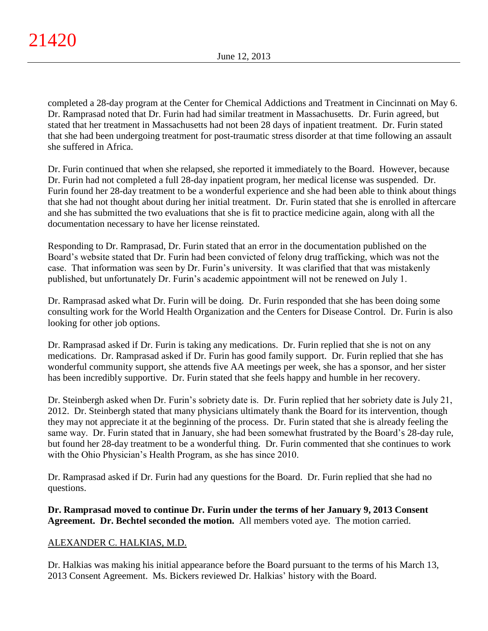completed a 28-day program at the Center for Chemical Addictions and Treatment in Cincinnati on May 6. Dr. Ramprasad noted that Dr. Furin had had similar treatment in Massachusetts. Dr. Furin agreed, but stated that her treatment in Massachusetts had not been 28 days of inpatient treatment. Dr. Furin stated that she had been undergoing treatment for post-traumatic stress disorder at that time following an assault she suffered in Africa.

Dr. Furin continued that when she relapsed, she reported it immediately to the Board. However, because Dr. Furin had not completed a full 28-day inpatient program, her medical license was suspended. Dr. Furin found her 28-day treatment to be a wonderful experience and she had been able to think about things that she had not thought about during her initial treatment. Dr. Furin stated that she is enrolled in aftercare and she has submitted the two evaluations that she is fit to practice medicine again, along with all the documentation necessary to have her license reinstated.

Responding to Dr. Ramprasad, Dr. Furin stated that an error in the documentation published on the Board's website stated that Dr. Furin had been convicted of felony drug trafficking, which was not the case. That information was seen by Dr. Furin's university. It was clarified that that was mistakenly published, but unfortunately Dr. Furin's academic appointment will not be renewed on July 1.

Dr. Ramprasad asked what Dr. Furin will be doing. Dr. Furin responded that she has been doing some consulting work for the World Health Organization and the Centers for Disease Control. Dr. Furin is also looking for other job options.

Dr. Ramprasad asked if Dr. Furin is taking any medications. Dr. Furin replied that she is not on any medications. Dr. Ramprasad asked if Dr. Furin has good family support. Dr. Furin replied that she has wonderful community support, she attends five AA meetings per week, she has a sponsor, and her sister has been incredibly supportive. Dr. Furin stated that she feels happy and humble in her recovery.

Dr. Steinbergh asked when Dr. Furin's sobriety date is. Dr. Furin replied that her sobriety date is July 21, 2012. Dr. Steinbergh stated that many physicians ultimately thank the Board for its intervention, though they may not appreciate it at the beginning of the process. Dr. Furin stated that she is already feeling the same way. Dr. Furin stated that in January, she had been somewhat frustrated by the Board's 28-day rule, but found her 28-day treatment to be a wonderful thing. Dr. Furin commented that she continues to work with the Ohio Physician's Health Program, as she has since 2010.

Dr. Ramprasad asked if Dr. Furin had any questions for the Board. Dr. Furin replied that she had no questions.

# **Dr. Ramprasad moved to continue Dr. Furin under the terms of her January 9, 2013 Consent Agreement. Dr. Bechtel seconded the motion.** All members voted aye. The motion carried.

# ALEXANDER C. HALKIAS, M.D.

Dr. Halkias was making his initial appearance before the Board pursuant to the terms of his March 13, 2013 Consent Agreement. Ms. Bickers reviewed Dr. Halkias' history with the Board.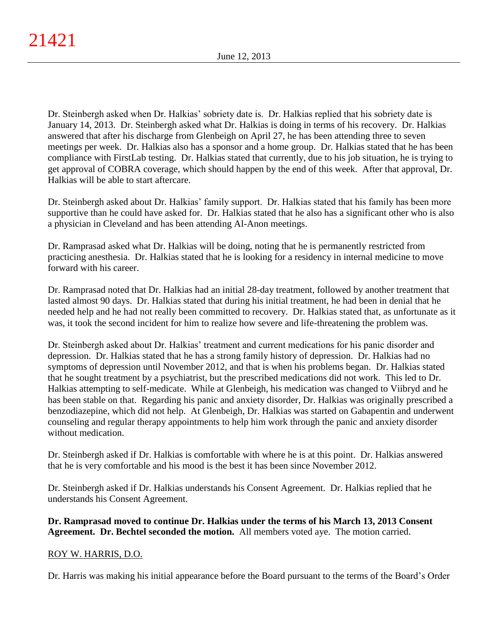Dr. Steinbergh asked when Dr. Halkias' sobriety date is. Dr. Halkias replied that his sobriety date is January 14, 2013. Dr. Steinbergh asked what Dr. Halkias is doing in terms of his recovery. Dr. Halkias answered that after his discharge from Glenbeigh on April 27, he has been attending three to seven meetings per week. Dr. Halkias also has a sponsor and a home group. Dr. Halkias stated that he has been compliance with FirstLab testing. Dr. Halkias stated that currently, due to his job situation, he is trying to get approval of COBRA coverage, which should happen by the end of this week. After that approval, Dr. Halkias will be able to start aftercare.

Dr. Steinbergh asked about Dr. Halkias' family support. Dr. Halkias stated that his family has been more supportive than he could have asked for. Dr. Halkias stated that he also has a significant other who is also a physician in Cleveland and has been attending Al-Anon meetings.

Dr. Ramprasad asked what Dr. Halkias will be doing, noting that he is permanently restricted from practicing anesthesia. Dr. Halkias stated that he is looking for a residency in internal medicine to move forward with his career.

Dr. Ramprasad noted that Dr. Halkias had an initial 28-day treatment, followed by another treatment that lasted almost 90 days. Dr. Halkias stated that during his initial treatment, he had been in denial that he needed help and he had not really been committed to recovery. Dr. Halkias stated that, as unfortunate as it was, it took the second incident for him to realize how severe and life-threatening the problem was.

Dr. Steinbergh asked about Dr. Halkias' treatment and current medications for his panic disorder and depression. Dr. Halkias stated that he has a strong family history of depression. Dr. Halkias had no symptoms of depression until November 2012, and that is when his problems began. Dr. Halkias stated that he sought treatment by a psychiatrist, but the prescribed medications did not work. This led to Dr. Halkias attempting to self-medicate. While at Glenbeigh, his medication was changed to Viibryd and he has been stable on that. Regarding his panic and anxiety disorder, Dr. Halkias was originally prescribed a benzodiazepine, which did not help. At Glenbeigh, Dr. Halkias was started on Gabapentin and underwent counseling and regular therapy appointments to help him work through the panic and anxiety disorder without medication.

Dr. Steinbergh asked if Dr. Halkias is comfortable with where he is at this point. Dr. Halkias answered that he is very comfortable and his mood is the best it has been since November 2012.

Dr. Steinbergh asked if Dr. Halkias understands his Consent Agreement. Dr. Halkias replied that he understands his Consent Agreement.

**Dr. Ramprasad moved to continue Dr. Halkias under the terms of his March 13, 2013 Consent Agreement. Dr. Bechtel seconded the motion.** All members voted aye. The motion carried.

# ROY W. HARRIS, D.O.

Dr. Harris was making his initial appearance before the Board pursuant to the terms of the Board's Order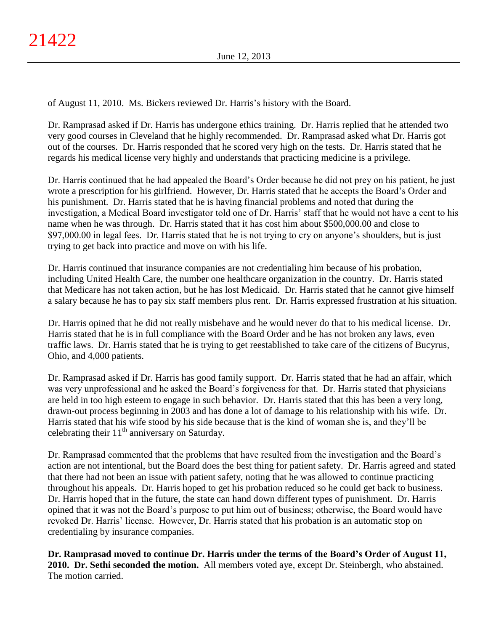of August 11, 2010. Ms. Bickers reviewed Dr. Harris's history with the Board.

Dr. Ramprasad asked if Dr. Harris has undergone ethics training. Dr. Harris replied that he attended two very good courses in Cleveland that he highly recommended. Dr. Ramprasad asked what Dr. Harris got out of the courses. Dr. Harris responded that he scored very high on the tests. Dr. Harris stated that he regards his medical license very highly and understands that practicing medicine is a privilege.

Dr. Harris continued that he had appealed the Board's Order because he did not prey on his patient, he just wrote a prescription for his girlfriend. However, Dr. Harris stated that he accepts the Board's Order and his punishment. Dr. Harris stated that he is having financial problems and noted that during the investigation, a Medical Board investigator told one of Dr. Harris' staff that he would not have a cent to his name when he was through. Dr. Harris stated that it has cost him about \$500,000.00 and close to \$97,000.00 in legal fees. Dr. Harris stated that he is not trying to cry on anyone's shoulders, but is just trying to get back into practice and move on with his life.

Dr. Harris continued that insurance companies are not credentialing him because of his probation, including United Health Care, the number one healthcare organization in the country. Dr. Harris stated that Medicare has not taken action, but he has lost Medicaid. Dr. Harris stated that he cannot give himself a salary because he has to pay six staff members plus rent. Dr. Harris expressed frustration at his situation.

Dr. Harris opined that he did not really misbehave and he would never do that to his medical license. Dr. Harris stated that he is in full compliance with the Board Order and he has not broken any laws, even traffic laws. Dr. Harris stated that he is trying to get reestablished to take care of the citizens of Bucyrus, Ohio, and 4,000 patients.

Dr. Ramprasad asked if Dr. Harris has good family support. Dr. Harris stated that he had an affair, which was very unprofessional and he asked the Board's forgiveness for that. Dr. Harris stated that physicians are held in too high esteem to engage in such behavior. Dr. Harris stated that this has been a very long, drawn-out process beginning in 2003 and has done a lot of damage to his relationship with his wife. Dr. Harris stated that his wife stood by his side because that is the kind of woman she is, and they'll be celebrating their  $11<sup>th</sup>$  anniversary on Saturday.

Dr. Ramprasad commented that the problems that have resulted from the investigation and the Board's action are not intentional, but the Board does the best thing for patient safety. Dr. Harris agreed and stated that there had not been an issue with patient safety, noting that he was allowed to continue practicing throughout his appeals. Dr. Harris hoped to get his probation reduced so he could get back to business. Dr. Harris hoped that in the future, the state can hand down different types of punishment. Dr. Harris opined that it was not the Board's purpose to put him out of business; otherwise, the Board would have revoked Dr. Harris' license. However, Dr. Harris stated that his probation is an automatic stop on credentialing by insurance companies.

**Dr. Ramprasad moved to continue Dr. Harris under the terms of the Board's Order of August 11, 2010. Dr. Sethi seconded the motion.** All members voted aye, except Dr. Steinbergh, who abstained. The motion carried.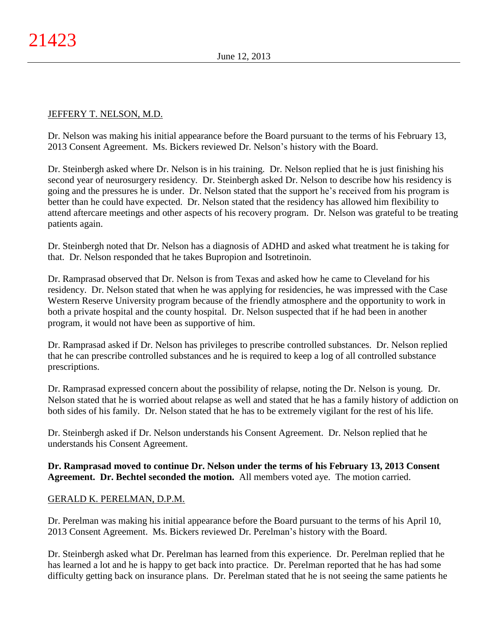# JEFFERY T. NELSON, M.D.

Dr. Nelson was making his initial appearance before the Board pursuant to the terms of his February 13, 2013 Consent Agreement. Ms. Bickers reviewed Dr. Nelson's history with the Board.

Dr. Steinbergh asked where Dr. Nelson is in his training. Dr. Nelson replied that he is just finishing his second year of neurosurgery residency. Dr. Steinbergh asked Dr. Nelson to describe how his residency is going and the pressures he is under. Dr. Nelson stated that the support he's received from his program is better than he could have expected. Dr. Nelson stated that the residency has allowed him flexibility to attend aftercare meetings and other aspects of his recovery program. Dr. Nelson was grateful to be treating patients again.

Dr. Steinbergh noted that Dr. Nelson has a diagnosis of ADHD and asked what treatment he is taking for that. Dr. Nelson responded that he takes Bupropion and Isotretinoin.

Dr. Ramprasad observed that Dr. Nelson is from Texas and asked how he came to Cleveland for his residency. Dr. Nelson stated that when he was applying for residencies, he was impressed with the Case Western Reserve University program because of the friendly atmosphere and the opportunity to work in both a private hospital and the county hospital. Dr. Nelson suspected that if he had been in another program, it would not have been as supportive of him.

Dr. Ramprasad asked if Dr. Nelson has privileges to prescribe controlled substances. Dr. Nelson replied that he can prescribe controlled substances and he is required to keep a log of all controlled substance prescriptions.

Dr. Ramprasad expressed concern about the possibility of relapse, noting the Dr. Nelson is young. Dr. Nelson stated that he is worried about relapse as well and stated that he has a family history of addiction on both sides of his family. Dr. Nelson stated that he has to be extremely vigilant for the rest of his life.

Dr. Steinbergh asked if Dr. Nelson understands his Consent Agreement. Dr. Nelson replied that he understands his Consent Agreement.

# **Dr. Ramprasad moved to continue Dr. Nelson under the terms of his February 13, 2013 Consent Agreement. Dr. Bechtel seconded the motion.** All members voted aye. The motion carried.

## GERALD K. PERELMAN, D.P.M.

Dr. Perelman was making his initial appearance before the Board pursuant to the terms of his April 10, 2013 Consent Agreement. Ms. Bickers reviewed Dr. Perelman's history with the Board.

Dr. Steinbergh asked what Dr. Perelman has learned from this experience. Dr. Perelman replied that he has learned a lot and he is happy to get back into practice. Dr. Perelman reported that he has had some difficulty getting back on insurance plans. Dr. Perelman stated that he is not seeing the same patients he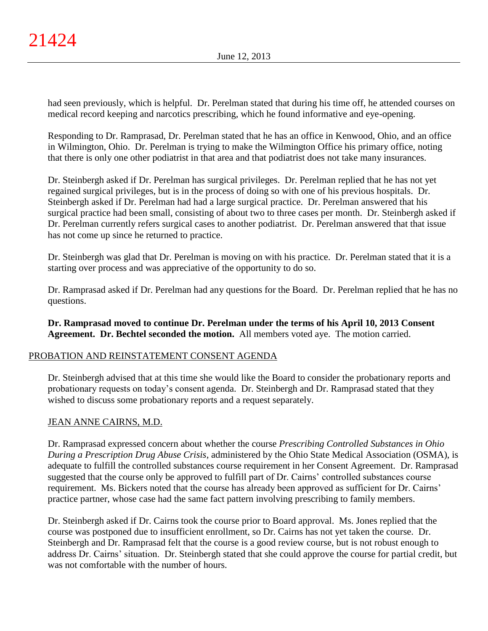had seen previously, which is helpful. Dr. Perelman stated that during his time off, he attended courses on medical record keeping and narcotics prescribing, which he found informative and eye-opening.

Responding to Dr. Ramprasad, Dr. Perelman stated that he has an office in Kenwood, Ohio, and an office in Wilmington, Ohio. Dr. Perelman is trying to make the Wilmington Office his primary office, noting that there is only one other podiatrist in that area and that podiatrist does not take many insurances.

Dr. Steinbergh asked if Dr. Perelman has surgical privileges. Dr. Perelman replied that he has not yet regained surgical privileges, but is in the process of doing so with one of his previous hospitals. Dr. Steinbergh asked if Dr. Perelman had had a large surgical practice. Dr. Perelman answered that his surgical practice had been small, consisting of about two to three cases per month. Dr. Steinbergh asked if Dr. Perelman currently refers surgical cases to another podiatrist. Dr. Perelman answered that that issue has not come up since he returned to practice.

Dr. Steinbergh was glad that Dr. Perelman is moving on with his practice. Dr. Perelman stated that it is a starting over process and was appreciative of the opportunity to do so.

Dr. Ramprasad asked if Dr. Perelman had any questions for the Board. Dr. Perelman replied that he has no questions.

**Dr. Ramprasad moved to continue Dr. Perelman under the terms of his April 10, 2013 Consent Agreement. Dr. Bechtel seconded the motion.** All members voted aye. The motion carried.

# PROBATION AND REINSTATEMENT CONSENT AGENDA

Dr. Steinbergh advised that at this time she would like the Board to consider the probationary reports and probationary requests on today's consent agenda. Dr. Steinbergh and Dr. Ramprasad stated that they wished to discuss some probationary reports and a request separately.

# JEAN ANNE CAIRNS, M.D.

Dr. Ramprasad expressed concern about whether the course *Prescribing Controlled Substances in Ohio During a Prescription Drug Abuse Crisis*, administered by the Ohio State Medical Association (OSMA), is adequate to fulfill the controlled substances course requirement in her Consent Agreement. Dr. Ramprasad suggested that the course only be approved to fulfill part of Dr. Cairns' controlled substances course requirement. Ms. Bickers noted that the course has already been approved as sufficient for Dr. Cairns' practice partner, whose case had the same fact pattern involving prescribing to family members.

Dr. Steinbergh asked if Dr. Cairns took the course prior to Board approval. Ms. Jones replied that the course was postponed due to insufficient enrollment, so Dr. Cairns has not yet taken the course. Dr. Steinbergh and Dr. Ramprasad felt that the course is a good review course, but is not robust enough to address Dr. Cairns' situation. Dr. Steinbergh stated that she could approve the course for partial credit, but was not comfortable with the number of hours.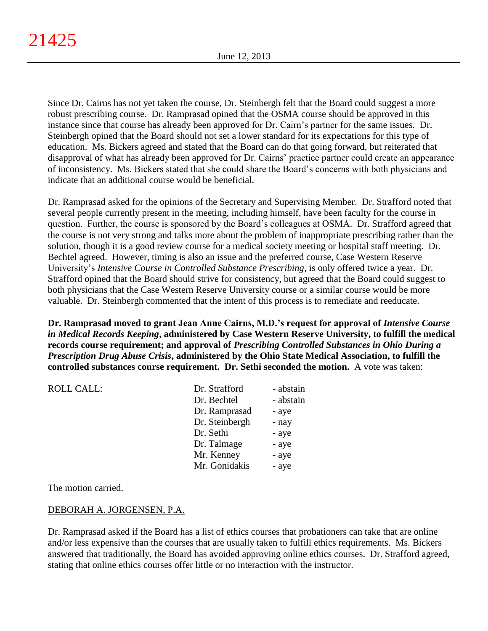Since Dr. Cairns has not yet taken the course, Dr. Steinbergh felt that the Board could suggest a more robust prescribing course. Dr. Ramprasad opined that the OSMA course should be approved in this instance since that course has already been approved for Dr. Cairn's partner for the same issues. Dr. Steinbergh opined that the Board should not set a lower standard for its expectations for this type of education. Ms. Bickers agreed and stated that the Board can do that going forward, but reiterated that disapproval of what has already been approved for Dr. Cairns' practice partner could create an appearance of inconsistency. Ms. Bickers stated that she could share the Board's concerns with both physicians and indicate that an additional course would be beneficial.

Dr. Ramprasad asked for the opinions of the Secretary and Supervising Member. Dr. Strafford noted that several people currently present in the meeting, including himself, have been faculty for the course in question. Further, the course is sponsored by the Board's colleagues at OSMA. Dr. Strafford agreed that the course is not very strong and talks more about the problem of inappropriate prescribing rather than the solution, though it is a good review course for a medical society meeting or hospital staff meeting. Dr. Bechtel agreed. However, timing is also an issue and the preferred course, Case Western Reserve University's *Intensive Course in Controlled Substance Prescribing*, is only offered twice a year. Dr. Strafford opined that the Board should strive for consistency, but agreed that the Board could suggest to both physicians that the Case Western Reserve University course or a similar course would be more valuable. Dr. Steinbergh commented that the intent of this process is to remediate and reeducate.

**Dr. Ramprasad moved to grant Jean Anne Cairns, M.D.'s request for approval of** *Intensive Course in Medical Records Keeping***, administered by Case Western Reserve University, to fulfill the medical records course requirement; and approval of** *Prescribing Controlled Substances in Ohio During a Prescription Drug Abuse Crisis***, administered by the Ohio State Medical Association, to fulfill the controlled substances course requirement. Dr. Sethi seconded the motion.** A vote was taken:

| <b>ROLL CALL:</b> | Dr. Strafford  | - abstain |
|-------------------|----------------|-----------|
|                   | Dr. Bechtel    | - abstain |
|                   | Dr. Ramprasad  | - aye     |
|                   | Dr. Steinbergh | - nay     |
|                   | Dr. Sethi      | - aye     |
|                   | Dr. Talmage    | - aye     |
|                   | Mr. Kenney     | - aye     |
|                   | Mr. Gonidakis  | - aye     |
|                   |                |           |

The motion carried.

# DEBORAH A. JORGENSEN, P.A.

Dr. Ramprasad asked if the Board has a list of ethics courses that probationers can take that are online and/or less expensive than the courses that are usually taken to fulfill ethics requirements. Ms. Bickers answered that traditionally, the Board has avoided approving online ethics courses. Dr. Strafford agreed, stating that online ethics courses offer little or no interaction with the instructor.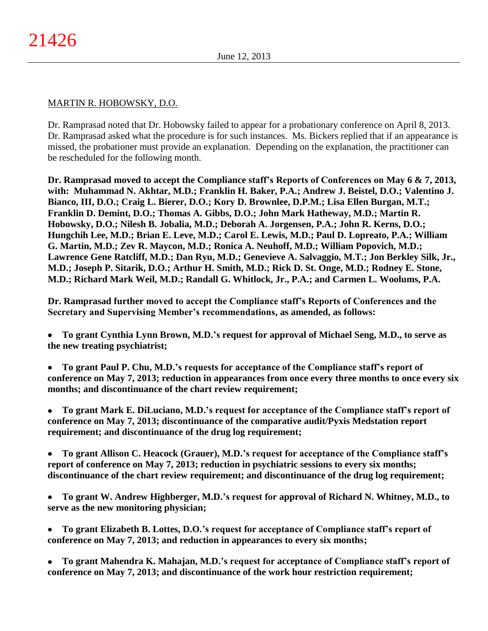# MARTIN R. HOBOWSKY, D.O.

Dr. Ramprasad noted that Dr. Hobowsky failed to appear for a probationary conference on April 8, 2013. Dr. Ramprasad asked what the procedure is for such instances. Ms. Bickers replied that if an appearance is missed, the probationer must provide an explanation. Depending on the explanation, the practitioner can be rescheduled for the following month.

**Dr. Ramprasad moved to accept the Compliance staff's Reports of Conferences on May 6 & 7, 2013, with: Muhammad N. Akhtar, M.D.; Franklin H. Baker, P.A.; Andrew J. Beistel, D.O.; Valentino J. Bianco, III, D.O.; Craig L. Bierer, D.O.; Kory D. Brownlee, D.P.M.; Lisa Ellen Burgan, M.T.; Franklin D. Demint, D.O.; Thomas A. Gibbs, D.O.; John Mark Hatheway, M.D.; Martin R. Hobowsky, D.O.; Nilesh B. Jobalia, M.D.; Deborah A. Jorgensen, P.A.; John R. Kerns, D.O.; Hungchih Lee, M.D.; Brian E. Leve, M.D.; Carol E. Lewis, M.D.; Paul D. Lopreato, P.A.; William G. Martin, M.D.; Zev R. Maycon, M.D.; Ronica A. Neuhoff, M.D.; William Popovich, M.D.; Lawrence Gene Ratcliff, M.D.; Dan Ryu, M.D.; Genevieve A. Salvaggio, M.T.; Jon Berkley Silk, Jr., M.D.; Joseph P. Sitarik, D.O.; Arthur H. Smith, M.D.; Rick D. St. Onge, M.D.; Rodney E. Stone, M.D.; Richard Mark Weil, M.D.; Randall G. Whitlock, Jr., P.A.; and Carmen L. Woolums, P.A.**

**Dr. Ramprasad further moved to accept the Compliance staff's Reports of Conferences and the Secretary and Supervising Member's recommendations, as amended, as follows:**

**To grant Cynthia Lynn Brown, M.D.'s request for approval of Michael Seng, M.D., to serve as**   $\bullet$ **the new treating psychiatrist;**

**To grant Paul P. Chu, M.D.'s requests for acceptance of the Compliance staff's report of**   $\bullet$ **conference on May 7, 2013; reduction in appearances from once every three months to once every six months; and discontinuance of the chart review requirement;**

**To grant Mark E. DiLuciano, M.D.'s request for acceptance of the Compliance staff's report of**   $\bullet$ **conference on May 7, 2013; discontinuance of the comparative audit/Pyxis Medstation report requirement; and discontinuance of the drug log requirement;**

**To grant Allison C. Heacock (Grauer), M.D.'s request for acceptance of the Compliance staff's**   $\bullet$ **report of conference on May 7, 2013; reduction in psychiatric sessions to every six months; discontinuance of the chart review requirement; and discontinuance of the drug log requirement;**

**To grant W. Andrew Highberger, M.D.'s request for approval of Richard N. Whitney, M.D., to**   $\bullet$ **serve as the new monitoring physician;**

 $\bullet$ **To grant Elizabeth B. Lottes, D.O.'s request for acceptance of Compliance staff's report of conference on May 7, 2013; and reduction in appearances to every six months;**

**To grant Mahendra K. Mahajan, M.D.'s request for acceptance of Compliance staff's report of**   $\bullet$ **conference on May 7, 2013; and discontinuance of the work hour restriction requirement;**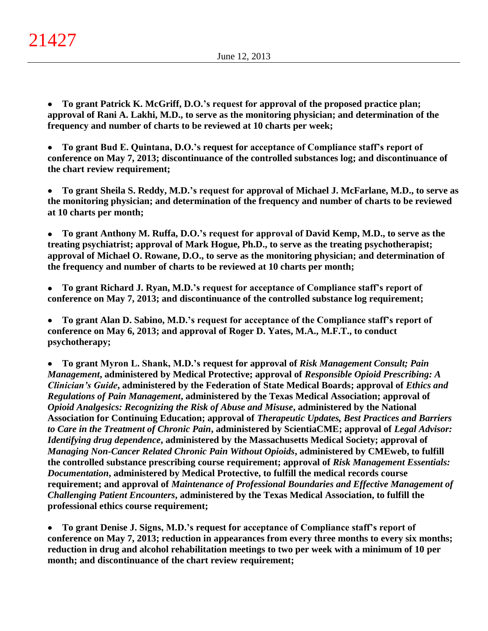**To grant Patrick K. McGriff, D.O.'s request for approval of the proposed practice plan;**   $\bullet$ **approval of Rani A. Lakhi, M.D., to serve as the monitoring physician; and determination of the frequency and number of charts to be reviewed at 10 charts per week;**

**To grant Bud E. Quintana, D.O.'s request for acceptance of Compliance staff's report of**   $\bullet$ **conference on May 7, 2013; discontinuance of the controlled substances log; and discontinuance of the chart review requirement;**

**To grant Sheila S. Reddy, M.D.'s request for approval of Michael J. McFarlane, M.D., to serve as**   $\bullet$ **the monitoring physician; and determination of the frequency and number of charts to be reviewed at 10 charts per month;**

**To grant Anthony M. Ruffa, D.O.'s request for approval of David Kemp, M.D., to serve as the**   $\bullet$ **treating psychiatrist; approval of Mark Hogue, Ph.D., to serve as the treating psychotherapist; approval of Michael O. Rowane, D.O., to serve as the monitoring physician; and determination of the frequency and number of charts to be reviewed at 10 charts per month;**

**To grant Richard J. Ryan, M.D.'s request for acceptance of Compliance staff's report of conference on May 7, 2013; and discontinuance of the controlled substance log requirement;**

**To grant Alan D. Sabino, M.D.'s request for acceptance of the Compliance staff's report of**   $\bullet$ **conference on May 6, 2013; and approval of Roger D. Yates, M.A., M.F.T., to conduct psychotherapy;**

**To grant Myron L. Shank, M.D.'s request for approval of** *Risk Management Consult; Pain*   $\bullet$ *Management***, administered by Medical Protective; approval of** *Responsible Opioid Prescribing: A Clinician's Guide*, administered by the Federation of State Medical Boards; approval of *Ethics and Regulations of Pain Management***, administered by the Texas Medical Association; approval of**  *Opioid Analgesics: Recognizing the Risk of Abuse and Misuse***, administered by the National Association for Continuing Education; approval of** *Therapeutic Updates, Best Practices and Barriers to Care in the Treatment of Chronic Pain***, administered by ScientiaCME; approval of** *Legal Advisor: Identifying drug dependence***, administered by the Massachusetts Medical Society; approval of**  *Managing Non-Cancer Related Chronic Pain Without Opioids***, administered by CMEweb, to fulfill the controlled substance prescribing course requirement; approval of** *Risk Management Essentials: Documentation***, administered by Medical Protective, to fulfill the medical records course requirement; and approval of** *Maintenance of Professional Boundaries and Effective Management of Challenging Patient Encounters***, administered by the Texas Medical Association, to fulfill the professional ethics course requirement;**

**To grant Denise J. Signs, M.D.'s request for acceptance of Compliance staff's report of**   $\bullet$ **conference on May 7, 2013; reduction in appearances from every three months to every six months; reduction in drug and alcohol rehabilitation meetings to two per week with a minimum of 10 per month; and discontinuance of the chart review requirement;**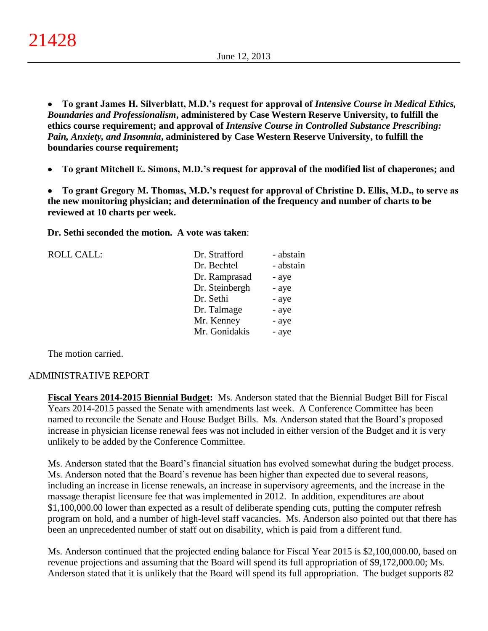**To grant James H. Silverblatt, M.D.'s request for approval of** *Intensive Course in Medical Ethics,*   $\bullet$ *Boundaries and Professionalism***, administered by Case Western Reserve University, to fulfill the ethics course requirement; and approval of** *Intensive Course in Controlled Substance Prescribing: Pain, Anxiety, and Insomnia***, administered by Case Western Reserve University, to fulfill the boundaries course requirement;**

**To grant Mitchell E. Simons, M.D.'s request for approval of the modified list of chaperones; and**  $\bullet$ 

**To grant Gregory M. Thomas, M.D.'s request for approval of Christine D. Ellis, M.D., to serve as**   $\bullet$ **the new monitoring physician; and determination of the frequency and number of charts to be reviewed at 10 charts per week.**

**Dr. Sethi seconded the motion. A vote was taken**:

| <b>ROLL CALL:</b> | Dr. Strafford  | - abstain |
|-------------------|----------------|-----------|
|                   | Dr. Bechtel    | - abstain |
|                   | Dr. Ramprasad  | - aye     |
|                   | Dr. Steinbergh | - aye     |
|                   | Dr. Sethi      | - aye     |
|                   | Dr. Talmage    | - aye     |
|                   | Mr. Kenney     | - aye     |
|                   | Mr. Gonidakis  | - aye     |
|                   |                |           |

The motion carried.

## ADMINISTRATIVE REPORT

**Fiscal Years 2014-2015 Biennial Budget:** Ms. Anderson stated that the Biennial Budget Bill for Fiscal Years 2014-2015 passed the Senate with amendments last week. A Conference Committee has been named to reconcile the Senate and House Budget Bills. Ms. Anderson stated that the Board's proposed increase in physician license renewal fees was not included in either version of the Budget and it is very unlikely to be added by the Conference Committee.

Ms. Anderson stated that the Board's financial situation has evolved somewhat during the budget process. Ms. Anderson noted that the Board's revenue has been higher than expected due to several reasons, including an increase in license renewals, an increase in supervisory agreements, and the increase in the massage therapist licensure fee that was implemented in 2012. In addition, expenditures are about \$1,100,000.00 lower than expected as a result of deliberate spending cuts, putting the computer refresh program on hold, and a number of high-level staff vacancies. Ms. Anderson also pointed out that there has been an unprecedented number of staff out on disability, which is paid from a different fund.

Ms. Anderson continued that the projected ending balance for Fiscal Year 2015 is \$2,100,000.00, based on revenue projections and assuming that the Board will spend its full appropriation of \$9,172,000.00; Ms. Anderson stated that it is unlikely that the Board will spend its full appropriation. The budget supports 82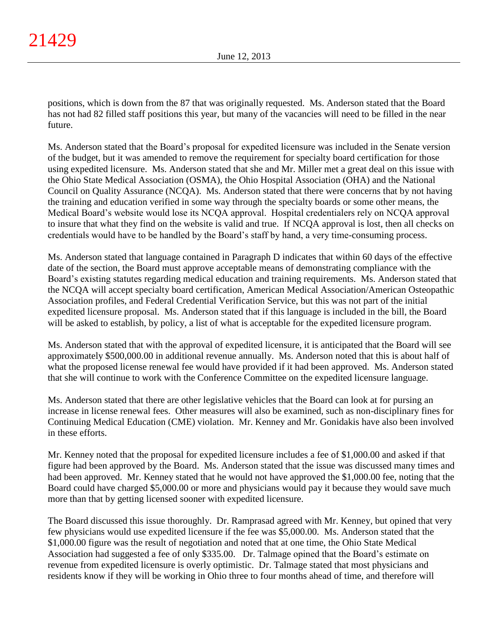positions, which is down from the 87 that was originally requested. Ms. Anderson stated that the Board has not had 82 filled staff positions this year, but many of the vacancies will need to be filled in the near future.

Ms. Anderson stated that the Board's proposal for expedited licensure was included in the Senate version of the budget, but it was amended to remove the requirement for specialty board certification for those using expedited licensure. Ms. Anderson stated that she and Mr. Miller met a great deal on this issue with the Ohio State Medical Association (OSMA), the Ohio Hospital Association (OHA) and the National Council on Quality Assurance (NCQA). Ms. Anderson stated that there were concerns that by not having the training and education verified in some way through the specialty boards or some other means, the Medical Board's website would lose its NCQA approval. Hospital credentialers rely on NCQA approval to insure that what they find on the website is valid and true. If NCQA approval is lost, then all checks on credentials would have to be handled by the Board's staff by hand, a very time-consuming process.

Ms. Anderson stated that language contained in Paragraph D indicates that within 60 days of the effective date of the section, the Board must approve acceptable means of demonstrating compliance with the Board's existing statutes regarding medical education and training requirements. Ms. Anderson stated that the NCQA will accept specialty board certification, American Medical Association/American Osteopathic Association profiles, and Federal Credential Verification Service, but this was not part of the initial expedited licensure proposal. Ms. Anderson stated that if this language is included in the bill, the Board will be asked to establish, by policy, a list of what is acceptable for the expedited licensure program.

Ms. Anderson stated that with the approval of expedited licensure, it is anticipated that the Board will see approximately \$500,000.00 in additional revenue annually. Ms. Anderson noted that this is about half of what the proposed license renewal fee would have provided if it had been approved. Ms. Anderson stated that she will continue to work with the Conference Committee on the expedited licensure language.

Ms. Anderson stated that there are other legislative vehicles that the Board can look at for pursing an increase in license renewal fees. Other measures will also be examined, such as non-disciplinary fines for Continuing Medical Education (CME) violation. Mr. Kenney and Mr. Gonidakis have also been involved in these efforts.

Mr. Kenney noted that the proposal for expedited licensure includes a fee of \$1,000.00 and asked if that figure had been approved by the Board. Ms. Anderson stated that the issue was discussed many times and had been approved. Mr. Kenney stated that he would not have approved the \$1,000.00 fee, noting that the Board could have charged \$5,000.00 or more and physicians would pay it because they would save much more than that by getting licensed sooner with expedited licensure.

The Board discussed this issue thoroughly. Dr. Ramprasad agreed with Mr. Kenney, but opined that very few physicians would use expedited licensure if the fee was \$5,000.00. Ms. Anderson stated that the \$1,000.00 figure was the result of negotiation and noted that at one time, the Ohio State Medical Association had suggested a fee of only \$335.00. Dr. Talmage opined that the Board's estimate on revenue from expedited licensure is overly optimistic. Dr. Talmage stated that most physicians and residents know if they will be working in Ohio three to four months ahead of time, and therefore will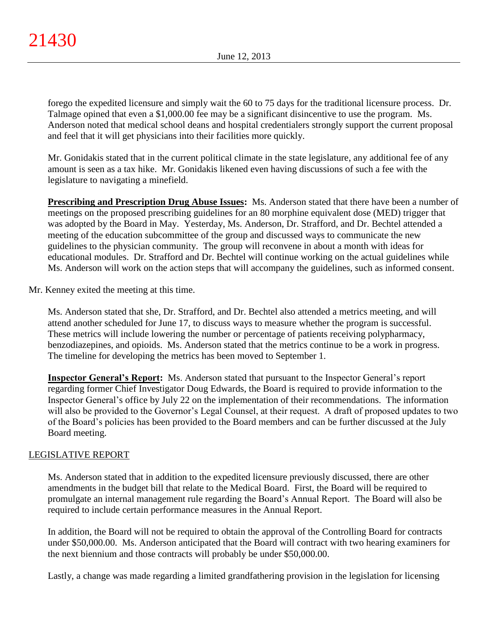forego the expedited licensure and simply wait the 60 to 75 days for the traditional licensure process. Dr. Talmage opined that even a \$1,000.00 fee may be a significant disincentive to use the program. Ms. Anderson noted that medical school deans and hospital credentialers strongly support the current proposal and feel that it will get physicians into their facilities more quickly.

Mr. Gonidakis stated that in the current political climate in the state legislature, any additional fee of any amount is seen as a tax hike. Mr. Gonidakis likened even having discussions of such a fee with the legislature to navigating a minefield.

**Prescribing and Prescription Drug Abuse Issues:** Ms. Anderson stated that there have been a number of meetings on the proposed prescribing guidelines for an 80 morphine equivalent dose (MED) trigger that was adopted by the Board in May. Yesterday, Ms. Anderson, Dr. Strafford, and Dr. Bechtel attended a meeting of the education subcommittee of the group and discussed ways to communicate the new guidelines to the physician community. The group will reconvene in about a month with ideas for educational modules. Dr. Strafford and Dr. Bechtel will continue working on the actual guidelines while Ms. Anderson will work on the action steps that will accompany the guidelines, such as informed consent.

Mr. Kenney exited the meeting at this time.

Ms. Anderson stated that she, Dr. Strafford, and Dr. Bechtel also attended a metrics meeting, and will attend another scheduled for June 17, to discuss ways to measure whether the program is successful. These metrics will include lowering the number or percentage of patients receiving polypharmacy, benzodiazepines, and opioids. Ms. Anderson stated that the metrics continue to be a work in progress. The timeline for developing the metrics has been moved to September 1.

**Inspector General's Report:** Ms. Anderson stated that pursuant to the Inspector General's report regarding former Chief Investigator Doug Edwards, the Board is required to provide information to the Inspector General's office by July 22 on the implementation of their recommendations. The information will also be provided to the Governor's Legal Counsel, at their request. A draft of proposed updates to two of the Board's policies has been provided to the Board members and can be further discussed at the July Board meeting.

# LEGISLATIVE REPORT

Ms. Anderson stated that in addition to the expedited licensure previously discussed, there are other amendments in the budget bill that relate to the Medical Board. First, the Board will be required to promulgate an internal management rule regarding the Board's Annual Report. The Board will also be required to include certain performance measures in the Annual Report.

In addition, the Board will not be required to obtain the approval of the Controlling Board for contracts under \$50,000.00. Ms. Anderson anticipated that the Board will contract with two hearing examiners for the next biennium and those contracts will probably be under \$50,000.00.

Lastly, a change was made regarding a limited grandfathering provision in the legislation for licensing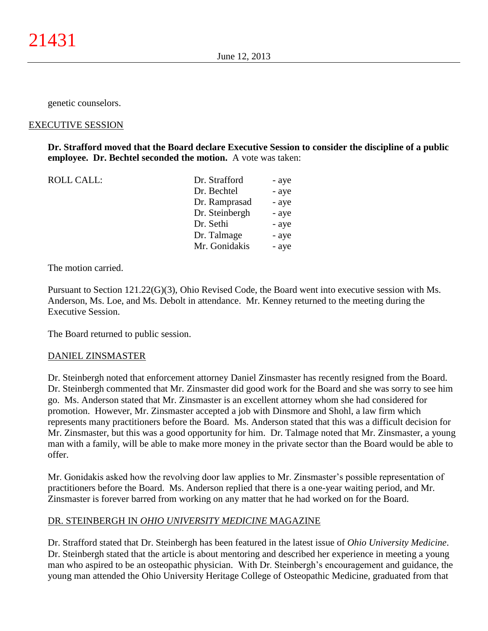genetic counselors.

### EXECUTIVE SESSION

**Dr. Strafford moved that the Board declare Executive Session to consider the discipline of a public employee. Dr. Bechtel seconded the motion.** A vote was taken:

| <b>ROLL CALL:</b> | Dr. Strafford  | - aye |
|-------------------|----------------|-------|
|                   | Dr. Bechtel    | - aye |
|                   | Dr. Ramprasad  | - aye |
|                   | Dr. Steinbergh | - aye |
|                   | Dr. Sethi      | - aye |
|                   | Dr. Talmage    | - aye |
|                   | Mr. Gonidakis  | - aye |

The motion carried.

Pursuant to Section 121.22(G)(3), Ohio Revised Code, the Board went into executive session with Ms. Anderson, Ms. Loe, and Ms. Debolt in attendance. Mr. Kenney returned to the meeting during the Executive Session.

The Board returned to public session.

### DANIEL ZINSMASTER

Dr. Steinbergh noted that enforcement attorney Daniel Zinsmaster has recently resigned from the Board. Dr. Steinbergh commented that Mr. Zinsmaster did good work for the Board and she was sorry to see him go. Ms. Anderson stated that Mr. Zinsmaster is an excellent attorney whom she had considered for promotion. However, Mr. Zinsmaster accepted a job with Dinsmore and Shohl, a law firm which represents many practitioners before the Board. Ms. Anderson stated that this was a difficult decision for Mr. Zinsmaster, but this was a good opportunity for him. Dr. Talmage noted that Mr. Zinsmaster, a young man with a family, will be able to make more money in the private sector than the Board would be able to offer.

Mr. Gonidakis asked how the revolving door law applies to Mr. Zinsmaster's possible representation of practitioners before the Board. Ms. Anderson replied that there is a one-year waiting period, and Mr. Zinsmaster is forever barred from working on any matter that he had worked on for the Board.

## DR. STEINBERGH IN *OHIO UNIVERSITY MEDICINE* MAGAZINE

Dr. Strafford stated that Dr. Steinbergh has been featured in the latest issue of *Ohio University Medicine*. Dr. Steinbergh stated that the article is about mentoring and described her experience in meeting a young man who aspired to be an osteopathic physician. With Dr. Steinbergh's encouragement and guidance, the young man attended the Ohio University Heritage College of Osteopathic Medicine, graduated from that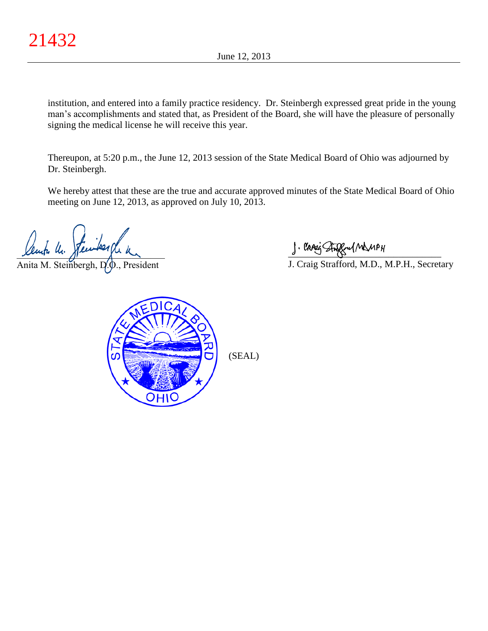institution, and entered into a family practice residency. Dr. Steinbergh expressed great pride in the young man's accomplishments and stated that, as President of the Board, she will have the pleasure of personally signing the medical license he will receive this year.

Thereupon, at 5:20 p.m., the June 12, 2013 session of the State Medical Board of Ohio was adjourned by Dr. Steinbergh.

We hereby attest that these are the true and accurate approved minutes of the State Medical Board of Ohio meeting on June 12, 2013, as approved on July 10, 2013.

 $x$ empa nu. pande español

Anita M. Steinbergh, D.D., President

 $\frac{1}{2}$  and since  $\frac{1}{2}$ 

J. Craig Strafford, M.D., M.P.H., Secretary



(SEAL)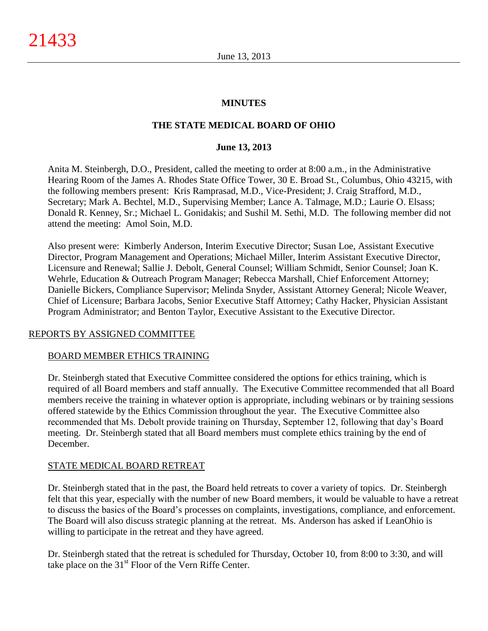## **MINUTES**

# **THE STATE MEDICAL BOARD OF OHIO**

### **June 13, 2013**

Anita M. Steinbergh, D.O., President, called the meeting to order at 8:00 a.m., in the Administrative Hearing Room of the James A. Rhodes State Office Tower, 30 E. Broad St., Columbus, Ohio 43215, with the following members present: Kris Ramprasad, M.D., Vice-President; J. Craig Strafford, M.D., Secretary; Mark A. Bechtel, M.D., Supervising Member; Lance A. Talmage, M.D.; Laurie O. Elsass; Donald R. Kenney, Sr.; Michael L. Gonidakis; and Sushil M. Sethi, M.D. The following member did not attend the meeting: Amol Soin, M.D.

Also present were: Kimberly Anderson, Interim Executive Director; Susan Loe, Assistant Executive Director, Program Management and Operations; Michael Miller, Interim Assistant Executive Director, Licensure and Renewal; Sallie J. Debolt, General Counsel; William Schmidt, Senior Counsel; Joan K. Wehrle, Education & Outreach Program Manager; Rebecca Marshall, Chief Enforcement Attorney; Danielle Bickers, Compliance Supervisor; Melinda Snyder, Assistant Attorney General; Nicole Weaver, Chief of Licensure; Barbara Jacobs, Senior Executive Staff Attorney; Cathy Hacker, Physician Assistant Program Administrator; and Benton Taylor, Executive Assistant to the Executive Director.

## REPORTS BY ASSIGNED COMMITTEE

## BOARD MEMBER ETHICS TRAINING

Dr. Steinbergh stated that Executive Committee considered the options for ethics training, which is required of all Board members and staff annually. The Executive Committee recommended that all Board members receive the training in whatever option is appropriate, including webinars or by training sessions offered statewide by the Ethics Commission throughout the year. The Executive Committee also recommended that Ms. Debolt provide training on Thursday, September 12, following that day's Board meeting. Dr. Steinbergh stated that all Board members must complete ethics training by the end of December.

## STATE MEDICAL BOARD RETREAT

Dr. Steinbergh stated that in the past, the Board held retreats to cover a variety of topics. Dr. Steinbergh felt that this year, especially with the number of new Board members, it would be valuable to have a retreat to discuss the basics of the Board's processes on complaints, investigations, compliance, and enforcement. The Board will also discuss strategic planning at the retreat. Ms. Anderson has asked if LeanOhio is willing to participate in the retreat and they have agreed.

Dr. Steinbergh stated that the retreat is scheduled for Thursday, October 10, from 8:00 to 3:30, and will take place on the  $31<sup>st</sup>$  Floor of the Vern Riffe Center.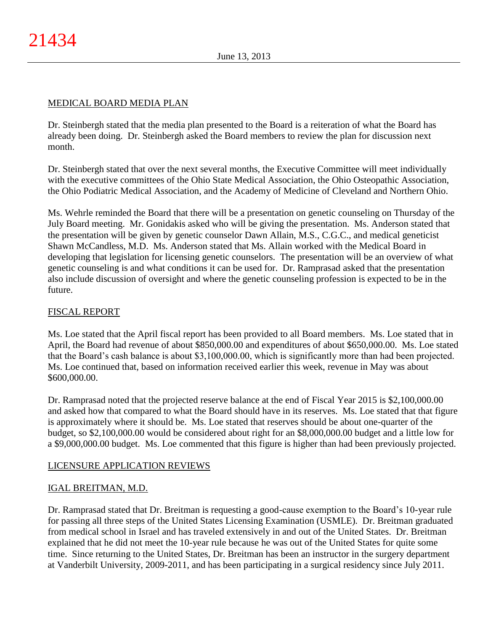# MEDICAL BOARD MEDIA PLAN

Dr. Steinbergh stated that the media plan presented to the Board is a reiteration of what the Board has already been doing. Dr. Steinbergh asked the Board members to review the plan for discussion next month.

Dr. Steinbergh stated that over the next several months, the Executive Committee will meet individually with the executive committees of the Ohio State Medical Association, the Ohio Osteopathic Association, the Ohio Podiatric Medical Association, and the Academy of Medicine of Cleveland and Northern Ohio.

Ms. Wehrle reminded the Board that there will be a presentation on genetic counseling on Thursday of the July Board meeting. Mr. Gonidakis asked who will be giving the presentation. Ms. Anderson stated that the presentation will be given by genetic counselor Dawn Allain, M.S., C.G.C., and medical geneticist Shawn McCandless, M.D. Ms. Anderson stated that Ms. Allain worked with the Medical Board in developing that legislation for licensing genetic counselors. The presentation will be an overview of what genetic counseling is and what conditions it can be used for. Dr. Ramprasad asked that the presentation also include discussion of oversight and where the genetic counseling profession is expected to be in the future.

# FISCAL REPORT

Ms. Loe stated that the April fiscal report has been provided to all Board members. Ms. Loe stated that in April, the Board had revenue of about \$850,000.00 and expenditures of about \$650,000.00. Ms. Loe stated that the Board's cash balance is about \$3,100,000.00, which is significantly more than had been projected. Ms. Loe continued that, based on information received earlier this week, revenue in May was about \$600,000.00.

Dr. Ramprasad noted that the projected reserve balance at the end of Fiscal Year 2015 is \$2,100,000.00 and asked how that compared to what the Board should have in its reserves. Ms. Loe stated that that figure is approximately where it should be. Ms. Loe stated that reserves should be about one-quarter of the budget, so \$2,100,000.00 would be considered about right for an \$8,000,000.00 budget and a little low for a \$9,000,000.00 budget. Ms. Loe commented that this figure is higher than had been previously projected.

# LICENSURE APPLICATION REVIEWS

# IGAL BREITMAN, M.D.

Dr. Ramprasad stated that Dr. Breitman is requesting a good-cause exemption to the Board's 10-year rule for passing all three steps of the United States Licensing Examination (USMLE). Dr. Breitman graduated from medical school in Israel and has traveled extensively in and out of the United States. Dr. Breitman explained that he did not meet the 10-year rule because he was out of the United States for quite some time. Since returning to the United States, Dr. Breitman has been an instructor in the surgery department at Vanderbilt University, 2009-2011, and has been participating in a surgical residency since July 2011.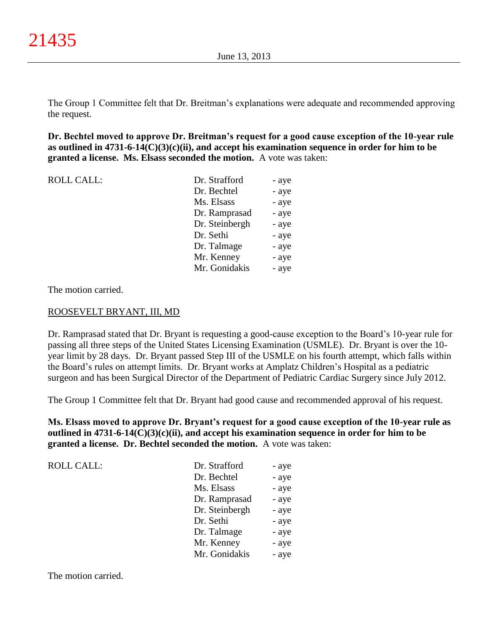The Group 1 Committee felt that Dr. Breitman's explanations were adequate and recommended approving the request.

**Dr. Bechtel moved to approve Dr. Breitman's request for a good cause exception of the 10-year rule as outlined in 4731-6-14(C)(3)(c)(ii), and accept his examination sequence in order for him to be granted a license. Ms. Elsass seconded the motion.** A vote was taken:

| <b>ROLL CALL:</b> | Dr. Strafford  | - aye |
|-------------------|----------------|-------|
|                   | Dr. Bechtel    | - aye |
|                   | Ms. Elsass     | - aye |
|                   | Dr. Ramprasad  | - aye |
|                   | Dr. Steinbergh | - aye |
|                   | Dr. Sethi      | - aye |
|                   | Dr. Talmage    | - aye |
|                   | Mr. Kenney     | - aye |
|                   | Mr. Gonidakis  | - aye |
|                   |                |       |

The motion carried.

## ROOSEVELT BRYANT, III, MD

Dr. Ramprasad stated that Dr. Bryant is requesting a good-cause exception to the Board's 10-year rule for passing all three steps of the United States Licensing Examination (USMLE). Dr. Bryant is over the 10 year limit by 28 days. Dr. Bryant passed Step III of the USMLE on his fourth attempt, which falls within the Board's rules on attempt limits. Dr. Bryant works at Amplatz Children's Hospital as a pediatric surgeon and has been Surgical Director of the Department of Pediatric Cardiac Surgery since July 2012.

The Group 1 Committee felt that Dr. Bryant had good cause and recommended approval of his request.

**Ms. Elsass moved to approve Dr. Bryant's request for a good cause exception of the 10-year rule as outlined in 4731-6-14(C)(3)(c)(ii), and accept his examination sequence in order for him to be granted a license. Dr. Bechtel seconded the motion.** A vote was taken:

| <b>ROLL CALL:</b> | Dr. Strafford  | - aye |
|-------------------|----------------|-------|
|                   | Dr. Bechtel    | - aye |
|                   | Ms. Elsass     | - aye |
|                   | Dr. Ramprasad  | - aye |
|                   | Dr. Steinbergh | - aye |
|                   | Dr. Sethi      | - aye |
|                   | Dr. Talmage    | - aye |
|                   | Mr. Kenney     | - aye |
|                   | Mr. Gonidakis  | - aye |

The motion carried.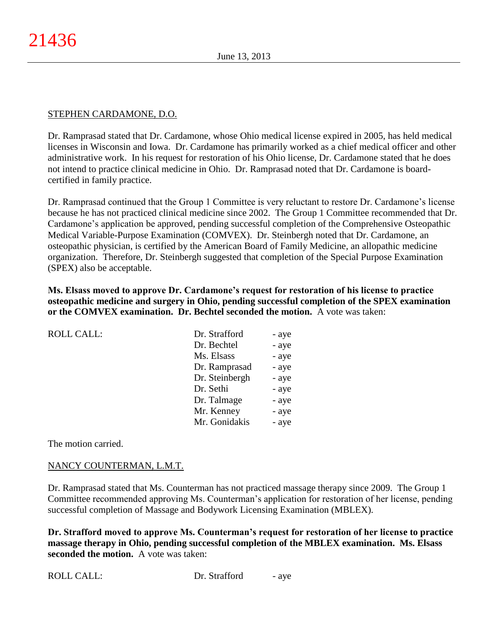# STEPHEN CARDAMONE, D.O.

Dr. Ramprasad stated that Dr. Cardamone, whose Ohio medical license expired in 2005, has held medical licenses in Wisconsin and Iowa. Dr. Cardamone has primarily worked as a chief medical officer and other administrative work. In his request for restoration of his Ohio license, Dr. Cardamone stated that he does not intend to practice clinical medicine in Ohio. Dr. Ramprasad noted that Dr. Cardamone is boardcertified in family practice.

Dr. Ramprasad continued that the Group 1 Committee is very reluctant to restore Dr. Cardamone's license because he has not practiced clinical medicine since 2002. The Group 1 Committee recommended that Dr. Cardamone's application be approved, pending successful completion of the Comprehensive Osteopathic Medical Variable-Purpose Examination (COMVEX). Dr. Steinbergh noted that Dr. Cardamone, an osteopathic physician, is certified by the American Board of Family Medicine, an allopathic medicine organization. Therefore, Dr. Steinbergh suggested that completion of the Special Purpose Examination (SPEX) also be acceptable.

**Ms. Elsass moved to approve Dr. Cardamone's request for restoration of his license to practice osteopathic medicine and surgery in Ohio, pending successful completion of the SPEX examination or the COMVEX examination. Dr. Bechtel seconded the motion.** A vote was taken:

| <b>ROLL CALL:</b> | Dr. Strafford  | - aye |
|-------------------|----------------|-------|
|                   | Dr. Bechtel    | - aye |
|                   | Ms. Elsass     | - aye |
|                   | Dr. Ramprasad  | - aye |
|                   | Dr. Steinbergh | - aye |
|                   | Dr. Sethi      | - aye |
|                   | Dr. Talmage    | - aye |
|                   | Mr. Kenney     | - aye |
|                   | Mr. Gonidakis  | - aye |
|                   |                |       |

The motion carried.

## NANCY COUNTERMAN, L.M.T.

Dr. Ramprasad stated that Ms. Counterman has not practiced massage therapy since 2009. The Group 1 Committee recommended approving Ms. Counterman's application for restoration of her license, pending successful completion of Massage and Bodywork Licensing Examination (MBLEX).

**Dr. Strafford moved to approve Ms. Counterman's request for restoration of her license to practice massage therapy in Ohio, pending successful completion of the MBLEX examination. Ms. Elsass seconded the motion.** A vote was taken: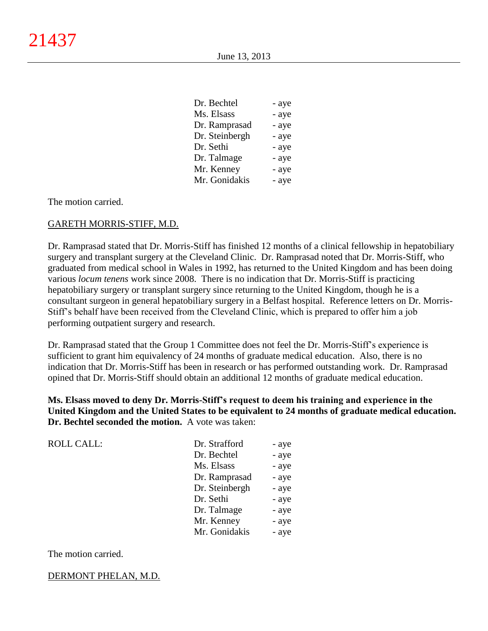| - aye |
|-------|
| - aye |
| - aye |
| - aye |
| - aye |
| - aye |
| - aye |
| - aye |
|       |

The motion carried.

### GARETH MORRIS-STIFF, M.D.

Dr. Ramprasad stated that Dr. Morris-Stiff has finished 12 months of a clinical fellowship in hepatobiliary surgery and transplant surgery at the Cleveland Clinic. Dr. Ramprasad noted that Dr. Morris-Stiff, who graduated from medical school in Wales in 1992, has returned to the United Kingdom and has been doing various *locum tenens* work since 2008. There is no indication that Dr. Morris-Stiff is practicing hepatobiliary surgery or transplant surgery since returning to the United Kingdom, though he is a consultant surgeon in general hepatobiliary surgery in a Belfast hospital. Reference letters on Dr. Morris-Stiff's behalf have been received from the Cleveland Clinic, which is prepared to offer him a job performing outpatient surgery and research.

Dr. Ramprasad stated that the Group 1 Committee does not feel the Dr. Morris-Stiff's experience is sufficient to grant him equivalency of 24 months of graduate medical education. Also, there is no indication that Dr. Morris-Stiff has been in research or has performed outstanding work. Dr. Ramprasad opined that Dr. Morris-Stiff should obtain an additional 12 months of graduate medical education.

**Ms. Elsass moved to deny Dr. Morris-Stiff's request to deem his training and experience in the United Kingdom and the United States to be equivalent to 24 months of graduate medical education. Dr. Bechtel seconded the motion.** A vote was taken:

| <b>ROLL CALL:</b> | Dr. Strafford  | - aye |
|-------------------|----------------|-------|
|                   | Dr. Bechtel    | - aye |
|                   | Ms. Elsass     | - aye |
|                   | Dr. Ramprasad  | - aye |
|                   | Dr. Steinbergh | - aye |
|                   | Dr. Sethi      | - aye |
|                   | Dr. Talmage    | - aye |
|                   | Mr. Kenney     | - aye |
|                   | Mr. Gonidakis  | - aye |
|                   |                |       |

The motion carried.

### DERMONT PHELAN, M.D.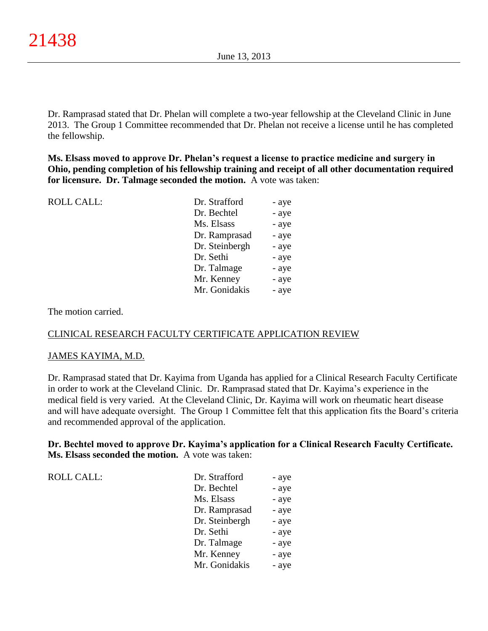Dr. Ramprasad stated that Dr. Phelan will complete a two-year fellowship at the Cleveland Clinic in June 2013. The Group 1 Committee recommended that Dr. Phelan not receive a license until he has completed the fellowship.

**Ms. Elsass moved to approve Dr. Phelan's request a license to practice medicine and surgery in Ohio, pending completion of his fellowship training and receipt of all other documentation required for licensure. Dr. Talmage seconded the motion.** A vote was taken:

| <b>ROLL CALL:</b> | Dr. Strafford  | - aye |
|-------------------|----------------|-------|
|                   | Dr. Bechtel    | - aye |
|                   | Ms. Elsass     | - aye |
|                   | Dr. Ramprasad  | - aye |
|                   | Dr. Steinbergh | - aye |
|                   | Dr. Sethi      | - aye |
|                   | Dr. Talmage    | - aye |
|                   | Mr. Kenney     | - aye |
|                   | Mr. Gonidakis  | - aye |
|                   |                |       |

The motion carried.

## CLINICAL RESEARCH FACULTY CERTIFICATE APPLICATION REVIEW

## JAMES KAYIMA, M.D.

Dr. Ramprasad stated that Dr. Kayima from Uganda has applied for a Clinical Research Faculty Certificate in order to work at the Cleveland Clinic. Dr. Ramprasad stated that Dr. Kayima's experience in the medical field is very varied. At the Cleveland Clinic, Dr. Kayima will work on rheumatic heart disease and will have adequate oversight. The Group 1 Committee felt that this application fits the Board's criteria and recommended approval of the application.

### **Dr. Bechtel moved to approve Dr. Kayima's application for a Clinical Research Faculty Certificate. Ms. Elsass seconded the motion.** A vote was taken:

| <b>ROLL CALL:</b> | Dr. Strafford  | - aye |
|-------------------|----------------|-------|
|                   | Dr. Bechtel    | - aye |
|                   | Ms. Elsass     | - aye |
|                   | Dr. Ramprasad  | - aye |
|                   | Dr. Steinbergh | - aye |
|                   | Dr. Sethi      | - aye |
|                   | Dr. Talmage    | - aye |
|                   | Mr. Kenney     | - aye |
|                   | Mr. Gonidakis  | - aye |
|                   |                |       |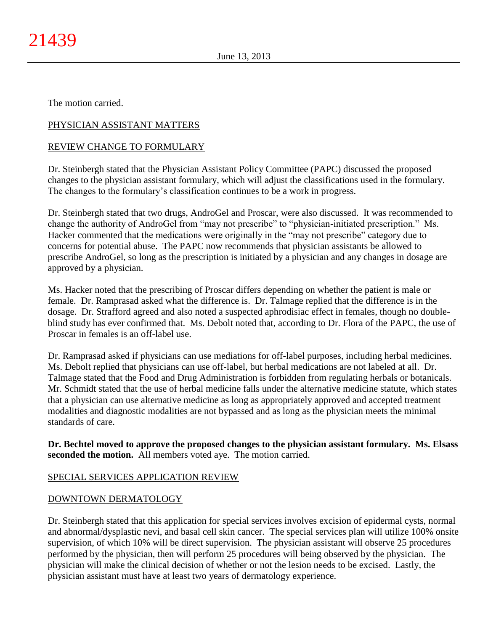The motion carried.

# PHYSICIAN ASSISTANT MATTERS

# REVIEW CHANGE TO FORMULARY

Dr. Steinbergh stated that the Physician Assistant Policy Committee (PAPC) discussed the proposed changes to the physician assistant formulary, which will adjust the classifications used in the formulary. The changes to the formulary's classification continues to be a work in progress.

Dr. Steinbergh stated that two drugs, AndroGel and Proscar, were also discussed. It was recommended to change the authority of AndroGel from "may not prescribe" to "physician-initiated prescription." Ms. Hacker commented that the medications were originally in the "may not prescribe" category due to concerns for potential abuse. The PAPC now recommends that physician assistants be allowed to prescribe AndroGel, so long as the prescription is initiated by a physician and any changes in dosage are approved by a physician.

Ms. Hacker noted that the prescribing of Proscar differs depending on whether the patient is male or female. Dr. Ramprasad asked what the difference is. Dr. Talmage replied that the difference is in the dosage. Dr. Strafford agreed and also noted a suspected aphrodisiac effect in females, though no doubleblind study has ever confirmed that. Ms. Debolt noted that, according to Dr. Flora of the PAPC, the use of Proscar in females is an off-label use.

Dr. Ramprasad asked if physicians can use mediations for off-label purposes, including herbal medicines. Ms. Debolt replied that physicians can use off-label, but herbal medications are not labeled at all. Dr. Talmage stated that the Food and Drug Administration is forbidden from regulating herbals or botanicals. Mr. Schmidt stated that the use of herbal medicine falls under the alternative medicine statute, which states that a physician can use alternative medicine as long as appropriately approved and accepted treatment modalities and diagnostic modalities are not bypassed and as long as the physician meets the minimal standards of care.

**Dr. Bechtel moved to approve the proposed changes to the physician assistant formulary. Ms. Elsass seconded the motion.** All members voted aye. The motion carried.

# SPECIAL SERVICES APPLICATION REVIEW

## DOWNTOWN DERMATOLOGY

Dr. Steinbergh stated that this application for special services involves excision of epidermal cysts, normal and abnormal/dysplastic nevi, and basal cell skin cancer. The special services plan will utilize 100% onsite supervision, of which 10% will be direct supervision. The physician assistant will observe 25 procedures performed by the physician, then will perform 25 procedures will being observed by the physician. The physician will make the clinical decision of whether or not the lesion needs to be excised. Lastly, the physician assistant must have at least two years of dermatology experience.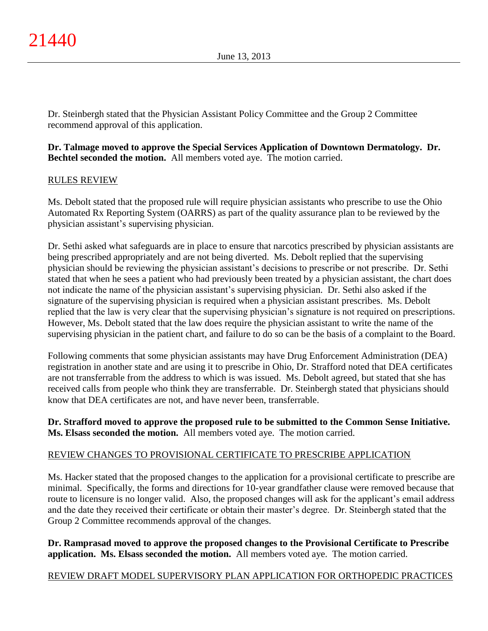Dr. Steinbergh stated that the Physician Assistant Policy Committee and the Group 2 Committee recommend approval of this application.

# **Dr. Talmage moved to approve the Special Services Application of Downtown Dermatology. Dr. Bechtel seconded the motion.** All members voted aye. The motion carried.

# RULES REVIEW

Ms. Debolt stated that the proposed rule will require physician assistants who prescribe to use the Ohio Automated Rx Reporting System (OARRS) as part of the quality assurance plan to be reviewed by the physician assistant's supervising physician.

Dr. Sethi asked what safeguards are in place to ensure that narcotics prescribed by physician assistants are being prescribed appropriately and are not being diverted. Ms. Debolt replied that the supervising physician should be reviewing the physician assistant's decisions to prescribe or not prescribe. Dr. Sethi stated that when he sees a patient who had previously been treated by a physician assistant, the chart does not indicate the name of the physician assistant's supervising physician. Dr. Sethi also asked if the signature of the supervising physician is required when a physician assistant prescribes. Ms. Debolt replied that the law is very clear that the supervising physician's signature is not required on prescriptions. However, Ms. Debolt stated that the law does require the physician assistant to write the name of the supervising physician in the patient chart, and failure to do so can be the basis of a complaint to the Board.

Following comments that some physician assistants may have Drug Enforcement Administration (DEA) registration in another state and are using it to prescribe in Ohio, Dr. Strafford noted that DEA certificates are not transferrable from the address to which is was issued. Ms. Debolt agreed, but stated that she has received calls from people who think they are transferrable. Dr. Steinbergh stated that physicians should know that DEA certificates are not, and have never been, transferrable.

**Dr. Strafford moved to approve the proposed rule to be submitted to the Common Sense Initiative. Ms. Elsass seconded the motion.** All members voted aye. The motion carried.

# REVIEW CHANGES TO PROVISIONAL CERTIFICATE TO PRESCRIBE APPLICATION

Ms. Hacker stated that the proposed changes to the application for a provisional certificate to prescribe are minimal. Specifically, the forms and directions for 10-year grandfather clause were removed because that route to licensure is no longer valid. Also, the proposed changes will ask for the applicant's email address and the date they received their certificate or obtain their master's degree. Dr. Steinbergh stated that the Group 2 Committee recommends approval of the changes.

**Dr. Ramprasad moved to approve the proposed changes to the Provisional Certificate to Prescribe application. Ms. Elsass seconded the motion.** All members voted aye. The motion carried.

# REVIEW DRAFT MODEL SUPERVISORY PLAN APPLICATION FOR ORTHOPEDIC PRACTICES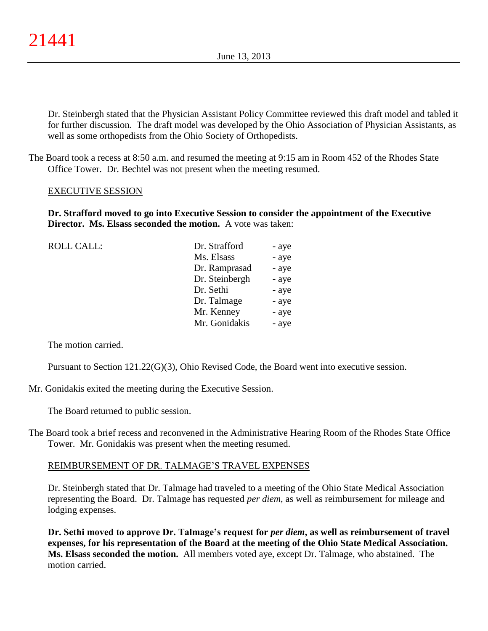Dr. Steinbergh stated that the Physician Assistant Policy Committee reviewed this draft model and tabled it for further discussion. The draft model was developed by the Ohio Association of Physician Assistants, as well as some orthopedists from the Ohio Society of Orthopedists.

The Board took a recess at 8:50 a.m. and resumed the meeting at 9:15 am in Room 452 of the Rhodes State Office Tower. Dr. Bechtel was not present when the meeting resumed.

### EXECUTIVE SESSION

**Dr. Strafford moved to go into Executive Session to consider the appointment of the Executive Director. Ms. Elsass seconded the motion.** A vote was taken:

| <b>ROLL CALL:</b> | Dr. Strafford  | - aye |
|-------------------|----------------|-------|
|                   | Ms. Elsass     | - aye |
|                   | Dr. Ramprasad  | - aye |
|                   | Dr. Steinbergh | - aye |
|                   | Dr. Sethi      | - aye |
|                   | Dr. Talmage    | - aye |
|                   | Mr. Kenney     | - aye |
|                   | Mr. Gonidakis  | - aye |
|                   |                |       |

The motion carried.

Pursuant to Section 121.22(G)(3), Ohio Revised Code, the Board went into executive session.

Mr. Gonidakis exited the meeting during the Executive Session.

The Board returned to public session.

The Board took a brief recess and reconvened in the Administrative Hearing Room of the Rhodes State Office Tower. Mr. Gonidakis was present when the meeting resumed.

## REIMBURSEMENT OF DR. TALMAGE'S TRAVEL EXPENSES

Dr. Steinbergh stated that Dr. Talmage had traveled to a meeting of the Ohio State Medical Association representing the Board. Dr. Talmage has requested *per diem*, as well as reimbursement for mileage and lodging expenses.

**Dr. Sethi moved to approve Dr. Talmage's request for** *per diem***, as well as reimbursement of travel expenses, for his representation of the Board at the meeting of the Ohio State Medical Association. Ms. Elsass seconded the motion.** All members voted aye, except Dr. Talmage, who abstained. The motion carried.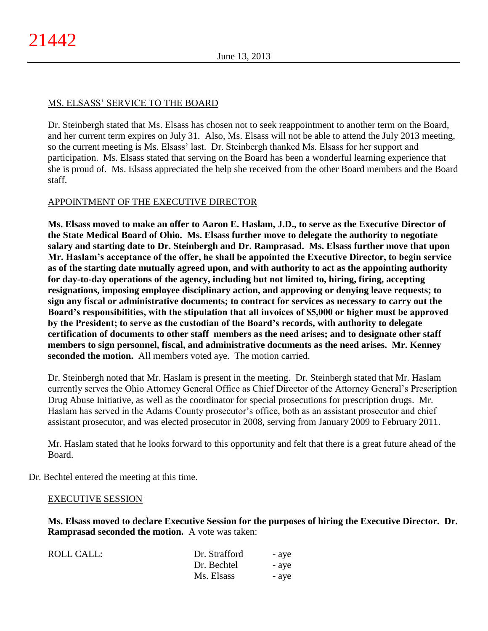## MS. ELSASS' SERVICE TO THE BOARD

Dr. Steinbergh stated that Ms. Elsass has chosen not to seek reappointment to another term on the Board, and her current term expires on July 31. Also, Ms. Elsass will not be able to attend the July 2013 meeting, so the current meeting is Ms. Elsass' last. Dr. Steinbergh thanked Ms. Elsass for her support and participation. Ms. Elsass stated that serving on the Board has been a wonderful learning experience that she is proud of. Ms. Elsass appreciated the help she received from the other Board members and the Board staff.

# APPOINTMENT OF THE EXECUTIVE DIRECTOR

**Ms. Elsass moved to make an offer to Aaron E. Haslam, J.D., to serve as the Executive Director of the State Medical Board of Ohio. Ms. Elsass further move to delegate the authority to negotiate salary and starting date to Dr. Steinbergh and Dr. Ramprasad. Ms. Elsass further move that upon Mr. Haslam's acceptance of the offer, he shall be appointed the Executive Director, to begin service as of the starting date mutually agreed upon, and with authority to act as the appointing authority for day-to-day operations of the agency, including but not limited to, hiring, firing, accepting resignations, imposing employee disciplinary action, and approving or denying leave requests; to sign any fiscal or administrative documents; to contract for services as necessary to carry out the Board's responsibilities, with the stipulation that all invoices of \$5,000 or higher must be approved by the President; to serve as the custodian of the Board's records, with authority to delegate certification of documents to other staff members as the need arises; and to designate other staff members to sign personnel, fiscal, and administrative documents as the need arises. Mr. Kenney seconded the motion.** All members voted aye. The motion carried.

Dr. Steinbergh noted that Mr. Haslam is present in the meeting. Dr. Steinbergh stated that Mr. Haslam currently serves the Ohio Attorney General Office as Chief Director of the Attorney General's Prescription Drug Abuse Initiative, as well as the coordinator for special prosecutions for prescription drugs. Mr. Haslam has served in the Adams County prosecutor's office, both as an assistant prosecutor and chief assistant prosecutor, and was elected prosecutor in 2008, serving from January 2009 to February 2011.

Mr. Haslam stated that he looks forward to this opportunity and felt that there is a great future ahead of the Board.

Dr. Bechtel entered the meeting at this time.

## EXECUTIVE SESSION

**Ms. Elsass moved to declare Executive Session for the purposes of hiring the Executive Director. Dr. Ramprasad seconded the motion.** A vote was taken:

| ROLL CALL: | Dr. Strafford | - aye |
|------------|---------------|-------|
|            | Dr. Bechtel   | - aye |
|            | Ms. Elsass    | - aye |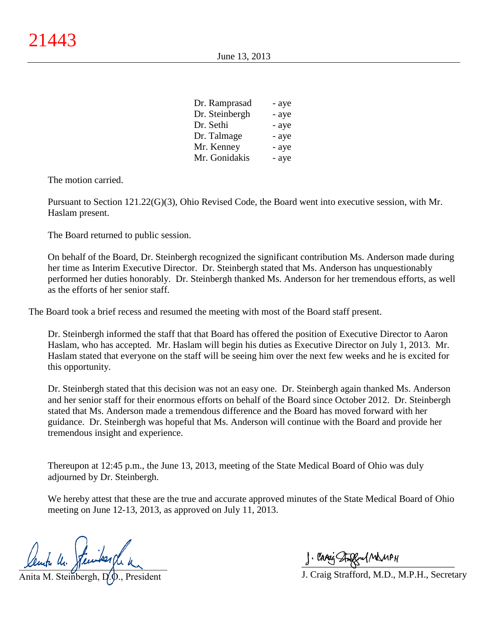| Dr. Ramprasad  | - aye |
|----------------|-------|
| Dr. Steinbergh | - aye |
| Dr. Sethi      | - aye |
| Dr. Talmage    | - aye |
| Mr. Kenney     | - aye |
| Mr. Gonidakis  | - aye |

The motion carried.

Pursuant to Section 121.22(G)(3), Ohio Revised Code, the Board went into executive session, with Mr. Haslam present.

The Board returned to public session.

On behalf of the Board, Dr. Steinbergh recognized the significant contribution Ms. Anderson made during her time as Interim Executive Director. Dr. Steinbergh stated that Ms. Anderson has unquestionably performed her duties honorably. Dr. Steinbergh thanked Ms. Anderson for her tremendous efforts, as well as the efforts of her senior staff.

The Board took a brief recess and resumed the meeting with most of the Board staff present.

Dr. Steinbergh informed the staff that that Board has offered the position of Executive Director to Aaron Haslam, who has accepted. Mr. Haslam will begin his duties as Executive Director on July 1, 2013. Mr. Haslam stated that everyone on the staff will be seeing him over the next few weeks and he is excited for this opportunity.

Dr. Steinbergh stated that this decision was not an easy one. Dr. Steinbergh again thanked Ms. Anderson and her senior staff for their enormous efforts on behalf of the Board since October 2012. Dr. Steinbergh stated that Ms. Anderson made a tremendous difference and the Board has moved forward with her guidance. Dr. Steinbergh was hopeful that Ms. Anderson will continue with the Board and provide her tremendous insight and experience.

Thereupon at 12:45 p.m., the June 13, 2013, meeting of the State Medical Board of Ohio was duly adjourned by Dr. Steinbergh.

We hereby attest that these are the true and accurate approved minutes of the State Medical Board of Ohio meeting on June 12-13, 2013, as approved on July 11, 2013.

 $x$ empa nu. pande español

Anita M. Steinbergh, D.D., President

 $\frac{1}{2}$  and since  $\frac{1}{2}$ 

J. Craig Strafford, M.D., M.P.H., Secretary